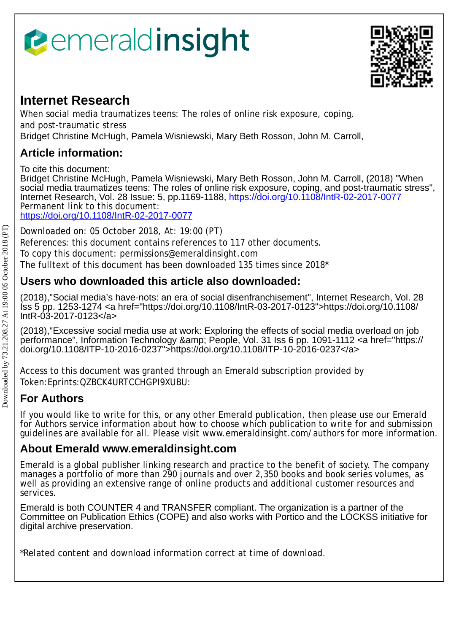# *<u><b>emeraldinsight</u>*



# **Internet Research**

When social media traumatizes teens: The roles of online risk exposure, coping, and post-traumatic stress Bridget Christine McHugh, Pamela Wisniewski, Mary Beth Rosson, John M. Carroll,

# **Article information:**

To cite this document:

Bridget Christine McHugh, Pamela Wisniewski, Mary Beth Rosson, John M. Carroll, (2018) "When social media traumatizes teens: The roles of online risk exposure, coping, and post-traumatic stress", Internet Research, Vol. 28 Issue: 5, pp.1169-1188,<https://doi.org/10.1108/IntR-02-2017-0077> Permanent link to this document: <https://doi.org/10.1108/IntR-02-2017-0077>

Downloaded on: 05 October 2018, At: 19:00 (PT)

References: this document contains references to 117 other documents.

To copy this document: permissions@emeraldinsight.com

The fulltext of this document has been downloaded 135 times since 2018\*

# **Users who downloaded this article also downloaded:**

(2018),"Social media's have-nots: an era of social disenfranchisement", Internet Research, Vol. 28 Iss 5 pp. 1253-1274 <a href="https://doi.org/10.1108/IntR-03-2017-0123">https://doi.org/10.1108/ IntR-03-2017-0123</a>

(2018),"Excessive social media use at work: Exploring the effects of social media overload on job performance", Information Technology & amp; People, Vol. 31 Iss 6 pp. 1091-1112 < a href="https:// doi.org/10.1108/ITP-10-2016-0237">https://doi.org/10.1108/ITP-10-2016-0237</a>

Access to this document was granted through an Emerald subscription provided by Token:Eprints:QZBCK4URTCCHGPI9XUBU:

# **For Authors**

If you would like to write for this, or any other Emerald publication, then please use our Emerald for Authors service information about how to choose which publication to write for and submission guidelines are available for all. Please visit www.emeraldinsight.com/authors for more information.

## **About Emerald www.emeraldinsight.com**

Emerald is a global publisher linking research and practice to the benefit of society. The company manages a portfolio of more than 290 journals and over 2,350 books and book series volumes, as well as providing an extensive range of online products and additional customer resources and services.

Emerald is both COUNTER 4 and TRANSFER compliant. The organization is a partner of the Committee on Publication Ethics (COPE) and also works with Portico and the LOCKSS initiative for digital archive preservation.

\*Related content and download information correct at time of download.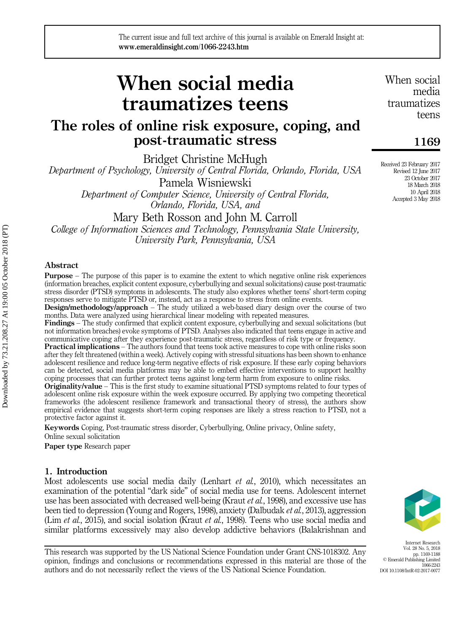# The roles of online risk exposure, coping, and post-traumatic stress

Bridget Christine McHugh

Department of Psychology, University of Central Florida, Orlando, Florida, USA Pamela Wisniewski Department of Computer Science, University of Central Florida,

Orlando, Florida, USA, and

Mary Beth Rosson and John M. Carroll

College of Information Sciences and Technology, Pennsylvania State University, University Park, Pennsylvania, USA

#### Abstract

Purpose – The purpose of this paper is to examine the extent to which negative online risk experiences (information breaches, explicit content exposure, cyberbullying and sexual solicitations) cause post-traumatic stress disorder (PTSD) symptoms in adolescents. The study also explores whether teens' short-term coping responses serve to mitigate PTSD or, instead, act as a response to stress from online events.

Design/methodology/approach – The study utilized a web-based diary design over the course of two months. Data were analyzed using hierarchical linear modeling with repeated measures.

Findings – The study confirmed that explicit content exposure, cyberbullying and sexual solicitations (but not information breaches) evoke symptoms of PTSD. Analyses also indicated that teens engage in active and communicative coping after they experience post-traumatic stress, regardless of risk type or frequency.

Practical implications – The authors found that teens took active measures to cope with online risks soon after they felt threatened (within a week). Actively coping with stressful situations has been shown to enhance adolescent resilience and reduce long-term negative effects of risk exposure. If these early coping behaviors can be detected, social media platforms may be able to embed effective interventions to support healthy coping processes that can further protect teens against long-term harm from exposure to online risks.

**Originality/value** – This is the first study to examine situational PTSD symptoms related to four types of adolescent online risk exposure within the week exposure occurred. By applying two competing theoretical frameworks (the adolescent resilience framework and transactional theory of stress), the authors show empirical evidence that suggests short-term coping responses are likely a stress reaction to PTSD, not a protective factor against it.

Keywords Coping, Post-traumatic stress disorder, Cyberbullying, Online privacy, Online safety, Online sexual solicitation

Paper type Research paper

#### 1. Introduction

Most adolescents use social media daily (Lenhart *et al.*, 2010), which necessitates an examination of the potential "dark side" of social media use for teens. Adolescent internet use has been associated with decreased well-being (Kraut et al., 1998), and excessive use has been tied to depression (Young and Rogers, 1998), anxiety (Dalbudak et al., 2013), aggression (Lim et al., 2015), and social isolation (Kraut et al., 1998). Teens who use social media and similar platforms excessively may also develop addictive behaviors (Balakrishnan and

This research was supported by the US National Science Foundation under Grant CNS-1018302. Any opinion, findings and conclusions or recommendations expressed in this material are those of the authors and do not necessarily reflect the views of the US National Science Foundation.

When social media traumatizes teens

### 1169

Received 23 February 2017 Revised 12 June 2017 23 October 2017 18 March 2018 10 April 2018 Accepted 3 May 2018



Internet Research Vol. 28 No. 5, 2018 pp. 1169-1188 © Emerald Publishing Limited 1066-2243 DOI 10.1108/IntR-02-2017-0077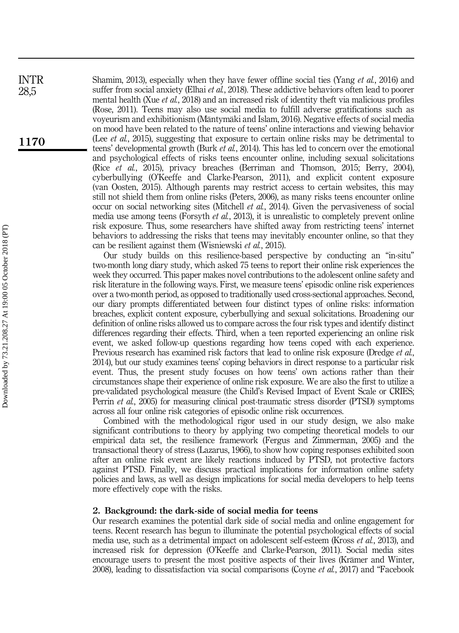Shamim, 2013), especially when they have fewer offline social ties (Yang et al., 2016) and suffer from social anxiety (Elhai *et al.*, 2018). These addictive behaviors often lead to poorer mental health (Xue et al., 2018) and an increased risk of identity theft via malicious profiles (Rose, 2011). Teens may also use social media to fulfill adverse gratifications such as voyeurism and exhibitionism (Mäntymäki and Islam, 2016). Negative effects of social media on mood have been related to the nature of teens' online interactions and viewing behavior (Lee *et al.*, 2015), suggesting that exposure to certain online risks may be detrimental to teens' developmental growth (Burk et al., 2014). This has led to concern over the emotional and psychological effects of risks teens encounter online, including sexual solicitations (Rice et al., 2015), privacy breaches (Berriman and Thomson, 2015; Berry, 2004), cyberbullying (O'Keeffe and Clarke-Pearson, 2011), and explicit content exposure (van Oosten, 2015). Although parents may restrict access to certain websites, this may still not shield them from online risks (Peters, 2006), as many risks teens encounter online occur on social networking sites (Mitchell et al., 2014). Given the pervasiveness of social media use among teens (Forsyth *et al.*, 2013), it is unrealistic to completely prevent online risk exposure. Thus, some researchers have shifted away from restricting teens' internet behaviors to addressing the risks that teens may inevitably encounter online, so that they can be resilient against them (Wisniewski et al., 2015).

Our study builds on this resilience-based perspective by conducting an "in-situ" two-month long diary study, which asked 75 teens to report their online risk experiences the week they occurred. This paper makes novel contributions to the adolescent online safety and risk literature in the following ways. First, we measure teens' episodic online risk experiences over a two-month period, as opposed to traditionally used cross-sectional approaches. Second, our diary prompts differentiated between four distinct types of online risks: information breaches, explicit content exposure, cyberbullying and sexual solicitations. Broadening our definition of online risks allowed us to compare across the four risk types and identify distinct differences regarding their effects. Third, when a teen reported experiencing an online risk event, we asked follow-up questions regarding how teens coped with each experience. Previous research has examined risk factors that lead to online risk exposure (Dredge *et al.*, 2014), but our study examines teens' coping behaviors in direct response to a particular risk event. Thus, the present study focuses on how teens' own actions rather than their circumstances shape their experience of online risk exposure. We are also the first to utilize a pre-validated psychological measure (the Child's Revised Impact of Event Scale or CRIES; Perrin et al., 2005) for measuring clinical post-traumatic stress disorder (PTSD) symptoms across all four online risk categories of episodic online risk occurrences.

Combined with the methodological rigor used in our study design, we also make significant contributions to theory by applying two competing theoretical models to our empirical data set, the resilience framework (Fergus and Zimmerman, 2005) and the transactional theory of stress (Lazarus, 1966), to show how coping responses exhibited soon after an online risk event are likely reactions induced by PTSD, not protective factors against PTSD. Finally, we discuss practical implications for information online safety policies and laws, as well as design implications for social media developers to help teens more effectively cope with the risks.

#### 2. Background: the dark-side of social media for teens

Our research examines the potential dark side of social media and online engagement for teens. Recent research has begun to illuminate the potential psychological effects of social media use, such as a detrimental impact on adolescent self-esteem (Kross et al., 2013), and increased risk for depression (O'Keeffe and Clarke-Pearson, 2011). Social media sites encourage users to present the most positive aspects of their lives (Krämer and Winter, 2008), leading to dissatisfaction via social comparisons (Coyne *et al.*, 2017) and "Facebook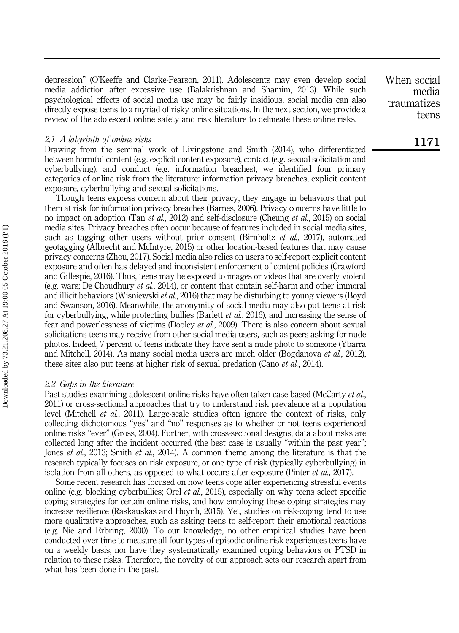depression" (O'Keeffe and Clarke-Pearson, 2011). Adolescents may even develop social media addiction after excessive use (Balakrishnan and Shamim, 2013). While such psychological effects of social media use may be fairly insidious, social media can also directly expose teens to a myriad of risky online situations. In the next section, we provide a review of the adolescent online safety and risk literature to delineate these online risks.

#### 2.1 A labyrinth of online risks

Drawing from the seminal work of Livingstone and Smith (2014), who differentiated between harmful content (e.g. explicit content exposure), contact (e.g. sexual solicitation and cyberbullying), and conduct (e.g. information breaches), we identified four primary categories of online risk from the literature: information privacy breaches, explicit content exposure, cyberbullying and sexual solicitations.

Though teens express concern about their privacy, they engage in behaviors that put them at risk for information privacy breaches (Barnes, 2006). Privacy concerns have little to no impact on adoption (Tan et al., 2012) and self-disclosure (Cheung et al., 2015) on social media sites. Privacy breaches often occur because of features included in social media sites, such as tagging other users without prior consent (Birnholtz *et al.*, 2017), automated geotagging (Albrecht and McIntyre, 2015) or other location-based features that may cause privacy concerns (Zhou, 2017). Social media also relies on users to self-report explicit content exposure and often has delayed and inconsistent enforcement of content policies (Crawford and Gillespie, 2016). Thus, teens may be exposed to images or videos that are overly violent (e.g. wars; De Choudhury et al., 2014), or content that contain self-harm and other immoral and illicit behaviors (Wisniewski *et al.*, 2016) that may be disturbing to young viewers (Boyd and Swanson, 2016). Meanwhile, the anonymity of social media may also put teens at risk for cyberbullying, while protecting bullies (Barlett *et al.*, 2016), and increasing the sense of fear and powerlessness of victims (Dooley *et al.*, 2009). There is also concern about sexual solicitations teens may receive from other social media users, such as peers asking for nude photos. Indeed, 7 percent of teens indicate they have sent a nude photo to someone (Ybarra and Mitchell, 2014). As many social media users are much older (Bogdanova et al., 2012), these sites also put teens at higher risk of sexual predation (Cano *et al.*, 2014).

#### 2.2 Gaps in the literature

Past studies examining adolescent online risks have often taken case-based (McCarty et al., 2011) or cross-sectional approaches that try to understand risk prevalence at a population level (Mitchell et al., 2011). Large-scale studies often ignore the context of risks, only collecting dichotomous "yes" and "no" responses as to whether or not teens experienced online risks "ever" (Gross, 2004). Further, with cross-sectional designs, data about risks are collected long after the incident occurred (the best case is usually "within the past year"; Jones *et al.*, 2013; Smith *et al.*, 2014). A common theme among the literature is that the research typically focuses on risk exposure, or one type of risk (typically cyberbullying) in isolation from all others, as opposed to what occurs after exposure (Pinter *et al.*, 2017).

Some recent research has focused on how teens cope after experiencing stressful events online (e.g. blocking cyberbullies; Orel *et al.*, 2015), especially on why teens select specific coping strategies for certain online risks, and how employing these coping strategies may increase resilience (Raskauskas and Huynh, 2015). Yet, studies on risk-coping tend to use more qualitative approaches, such as asking teens to self-report their emotional reactions (e.g. Nie and Erbring, 2000). To our knowledge, no other empirical studies have been conducted over time to measure all four types of episodic online risk experiences teens have on a weekly basis, nor have they systematically examined coping behaviors or PTSD in relation to these risks. Therefore, the novelty of our approach sets our research apart from what has been done in the past.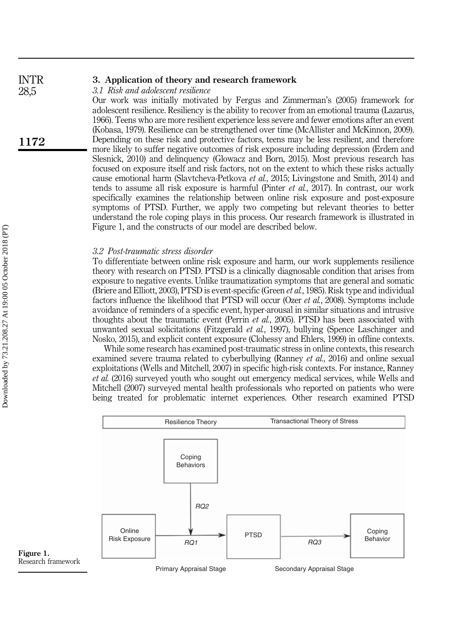#### 3. Application of theory and research framework INTR

3.1 Risk and adolescent resilience

Our work was initially motivated by Fergus and Zimmerman's (2005) framework for adolescent resilience. Resiliency is the ability to recover from an emotional trauma (Lazarus, 1966). Teens who are more resilient experience less severe and fewer emotions after an event (Kobasa, 1979). Resilience can be strengthened over time (McAllister and McKinnon, 2009). Depending on these risk and protective factors, teens may be less resilient, and therefore more likely to suffer negative outcomes of risk exposure including depression (Erdem and Slesnick, 2010) and delinquency (Glowacz and Born, 2015). Most previous research has focused on exposure itself and risk factors, not on the extent to which these risks actually cause emotional harm (Slavtcheva-Petkova et al., 2015; Livingstone and Smith, 2014) and tends to assume all risk exposure is harmful (Pinter et al., 2017). In contrast, our work specifically examines the relationship between online risk exposure and post-exposure symptoms of PTSD. Further, we apply two competing but relevant theories to better understand the role coping plays in this process. Our research framework is illustrated in Figure 1, and the constructs of our model are described below.

#### 3.2 Post-traumatic stress disorder

To differentiate between online risk exposure and harm, our work supplements resilience theory with research on PTSD. PTSD is a clinically diagnosable condition that arises from exposure to negative events. Unlike traumatization symptoms that are general and somatic (Briere and Elliott, 2003), PTSD is event-specific (Green et al., 1985). Risk type and individual factors influence the likelihood that PTSD will occur (Ozer et al., 2008). Symptoms include avoidance of reminders of a specific event, hyper-arousal in similar situations and intrusive thoughts about the traumatic event (Perrin *et al.*, 2005). PTSD has been associated with unwanted sexual solicitations (Fitzgerald *et al.*, 1997), bullying (Spence Laschinger and Nosko, 2015), and explicit content exposure (Clohessy and Ehlers, 1999) in offline contexts.

While some research has examined post-traumatic stress in online contexts, this research examined severe trauma related to cyberbullying (Ranney *et al.*, 2016) and online sexual exploitations (Wells and Mitchell, 2007) in specific high-risk contexts. For instance, Ranney et al. (2016) surveyed youth who sought out emergency medical services, while Wells and Mitchell (2007) surveyed mental health professionals who reported on patients who were being treated for problematic internet experiences. Other research examined PTSD



Figure 1. Research framework

Primary Appraisal Stage Secondary Appraisal Stage

1172

28,5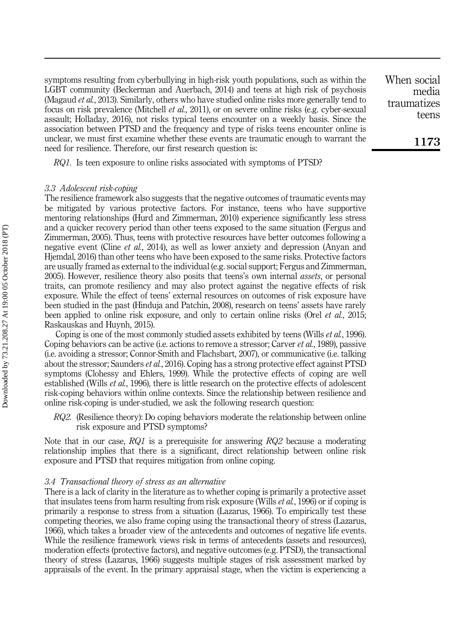symptoms resulting from cyberbullying in high-risk youth populations, such as within the LGBT community (Beckerman and Auerbach, 2014) and teens at high risk of psychosis (Magaud et al., 2013). Similarly, others who have studied online risks more generally tend to focus on risk prevalence (Mitchell *et al.*, 2011), or on severe online risks (e.g. cyber-sexual assault; Holladay, 2016), not risks typical teens encounter on a weekly basis. Since the association between PTSD and the frequency and type of risks teens encounter online is unclear, we must first examine whether these events are traumatic enough to warrant the need for resilience. Therefore, our first research question is:

RQ1. Is teen exposure to online risks associated with symptoms of PTSD?

#### 3.3 Adolescent risk-coping

The resilience framework also suggests that the negative outcomes of traumatic events may be mitigated by various protective factors. For instance, teens who have supportive mentoring relationships (Hurd and Zimmerman, 2010) experience significantly less stress and a quicker recovery period than other teens exposed to the same situation (Fergus and Zimmerman, 2005). Thus, teens with protective resources have better outcomes following a negative event (Cline *et al.*, 2014), as well as lower anxiety and depression (Anyan and Hjemdal, 2016) than other teens who have been exposed to the same risks. Protective factors are usually framed as external to the individual (e.g. social support; Fergus and Zimmerman, 2005). However, resilience theory also posits that teens's own internal *assets*, or personal traits, can promote resiliency and may also protect against the negative effects of risk exposure. While the effect of teens' external resources on outcomes of risk exposure have been studied in the past (Hinduja and Patchin, 2008), research on teens' assets have rarely been applied to online risk exposure, and only to certain online risks (Orel *et al.*, 2015; Raskauskas and Huynh, 2015).

Coping is one of the most commonly studied assets exhibited by teens (Wills *et al.*, 1996). Coping behaviors can be active (i.e. actions to remove a stressor; Carver *et al.*, 1989), passive (i.e. avoiding a stressor; Connor-Smith and Flachsbart, 2007), or communicative (i.e. talking about the stressor; Saunders *et al.*, 2016). Coping has a strong protective effect against PTSD symptoms (Clohessy and Ehlers, 1999). While the protective effects of coping are well established (Wills *et al.*, 1996), there is little research on the protective effects of adolescent risk-coping behaviors within online contexts. Since the relationship between resilience and online risk-coping is under-studied, we ask the following research question:

RQ2. (Resilience theory): Do coping behaviors moderate the relationship between online risk exposure and PTSD symptoms?

Note that in our case,  $RQ1$  is a prerequisite for answering  $RQ2$  because a moderating relationship implies that there is a significant, direct relationship between online risk exposure and PTSD that requires mitigation from online coping.

#### 3.4 Transactional theory of stress as an alternative

There is a lack of clarity in the literature as to whether coping is primarily a protective asset that insulates teens from harm resulting from risk exposure (Wills *et al.*, 1996) or if coping is primarily a response to stress from a situation (Lazarus, 1966). To empirically test these competing theories, we also frame coping using the transactional theory of stress (Lazarus, 1966), which takes a broader view of the antecedents and outcomes of negative life events. While the resilience framework views risk in terms of antecedents (assets and resources), moderation effects (protective factors), and negative outcomes (e.g. PTSD), the transactional theory of stress (Lazarus, 1966) suggests multiple stages of risk assessment marked by appraisals of the event. In the primary appraisal stage, when the victim is experiencing a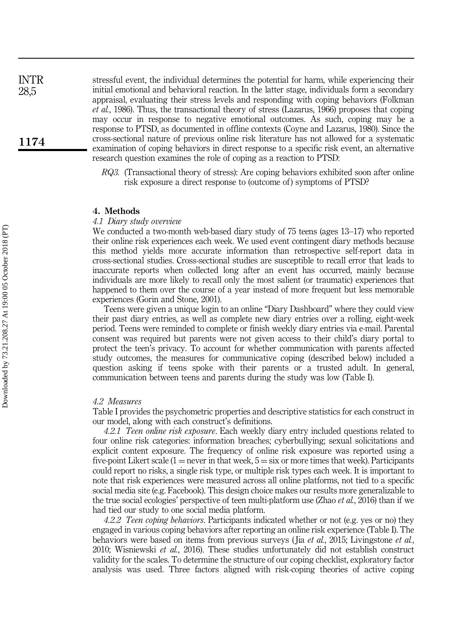stressful event, the individual determines the potential for harm, while experiencing their initial emotional and behavioral reaction. In the latter stage, individuals form a secondary appraisal, evaluating their stress levels and responding with coping behaviors (Folkman et al., 1986). Thus, the transactional theory of stress (Lazarus, 1966) proposes that coping may occur in response to negative emotional outcomes. As such, coping may be a response to PTSD, as documented in offline contexts (Coyne and Lazarus, 1980). Since the cross-sectional nature of previous online risk literature has not allowed for a systematic examination of coping behaviors in direct response to a specific risk event, an alternative research question examines the role of coping as a reaction to PTSD:

> RQ3. (Transactional theory of stress): Are coping behaviors exhibited soon after online risk exposure a direct response to (outcome of) symptoms of PTSD?

#### 4. Methods

#### 4.1 Diary study overview

We conducted a two-month web-based diary study of 75 teens (ages 13–17) who reported their online risk experiences each week. We used event contingent diary methods because this method yields more accurate information than retrospective self-report data in cross-sectional studies. Cross-sectional studies are susceptible to recall error that leads to inaccurate reports when collected long after an event has occurred, mainly because individuals are more likely to recall only the most salient (or traumatic) experiences that happened to them over the course of a year instead of more frequent but less memorable experiences (Gorin and Stone, 2001).

Teens were given a unique login to an online "Diary Dashboard" where they could view their past diary entries, as well as complete new diary entries over a rolling, eight-week period. Teens were reminded to complete or finish weekly diary entries via e-mail. Parental consent was required but parents were not given access to their child's diary portal to protect the teen's privacy. To account for whether communication with parents affected study outcomes, the measures for communicative coping (described below) included a question asking if teens spoke with their parents or a trusted adult. In general, communication between teens and parents during the study was low (Table I).

#### 4.2 Measures

Table I provides the psychometric properties and descriptive statistics for each construct in our model, along with each construct's definitions.

4.2.1 Teen online risk exposure. Each weekly diary entry included questions related to four online risk categories: information breaches; cyberbullying; sexual solicitations and explicit content exposure. The frequency of online risk exposure was reported using a five-point Likert scale  $(1 =$  never in that week,  $5 =$  six or more times that week). Participants could report no risks, a single risk type, or multiple risk types each week. It is important to note that risk experiences were measured across all online platforms, not tied to a specific social media site (e.g. Facebook). This design choice makes our results more generalizable to the true social ecologies' perspective of teen multi-platform use (Zhao et al., 2016) than if we had tied our study to one social media platform.

4.2.2 Teen coping behaviors. Participants indicated whether or not (e.g. yes or no) they engaged in various coping behaviors after reporting an online risk experience (Table I). The behaviors were based on items from previous surveys (Jia *et al.*, 2015; Livingstone *et al.*, 2010; Wisniewski et al., 2016). These studies unfortunately did not establish construct validity for the scales. To determine the structure of our coping checklist, exploratory factor analysis was used. Three factors aligned with risk-coping theories of active coping

1174

INTR 28,5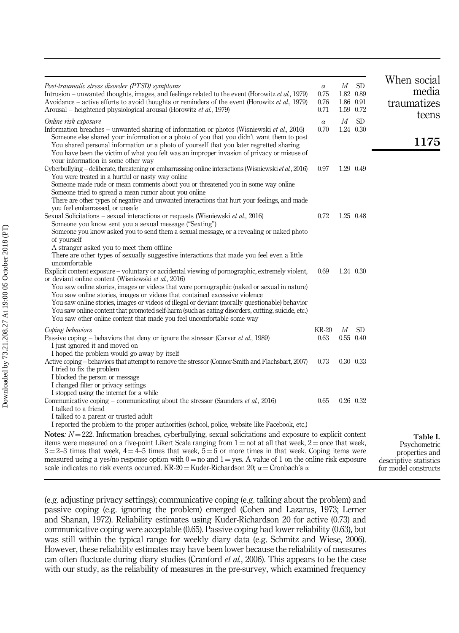| Post-traumatic stress disorder (PTSD) symptoms<br>Intrusion – unwanted thoughts, images, and feelings related to the event (Horowitz <i>et al.</i> , 1979)<br>Avoidance – active efforts to avoid thoughts or reminders of the event (Horowitz et al., 1979)<br>Arousal – heightened physiological arousal (Horowitz et al., 1979)                                                                                                                                                                                                                                                                                                    | $\alpha$<br>0.75<br>0.76<br>0.71 | $\boldsymbol{M}$ | <b>SD</b><br>1.82 0.89<br>1.86 0.91<br>1.59 0.72 | When social<br>media<br>traumatizes<br>teens                                                 |
|---------------------------------------------------------------------------------------------------------------------------------------------------------------------------------------------------------------------------------------------------------------------------------------------------------------------------------------------------------------------------------------------------------------------------------------------------------------------------------------------------------------------------------------------------------------------------------------------------------------------------------------|----------------------------------|------------------|--------------------------------------------------|----------------------------------------------------------------------------------------------|
| Online risk exposure<br>Information breaches – unwanted sharing of information or photos (Wisniewski et al., 2016)<br>Someone else shared your information or a photo of you that you didn't want them to post<br>You shared personal information or a photo of yourself that you later regretted sharing<br>You have been the victim of what you felt was an improper invasion of privacy or misuse of<br>your information in some other way                                                                                                                                                                                         | $\alpha$<br>0.70                 | $\boldsymbol{M}$ | <b>SD</b><br>1.24 0.30                           | 1175                                                                                         |
| Cyberbullying - deliberate, threatening or embarrassing online interactions (Wisniewski et al., 2016)<br>You were treated in a hurtful or nasty way online<br>Someone made rude or mean comments about you or threatened you in some way online<br>Someone tried to spread a mean rumor about you online<br>There are other types of negative and unwanted interactions that hurt your feelings, and made<br>you feel embarrassed, or unsafe                                                                                                                                                                                          | 0.97                             |                  | 1.29 0.49                                        |                                                                                              |
| Sexual Solicitations – sexual interactions or requests (Wisniewski <i>et al.</i> , 2016)<br>Someone you know sent you a sexual message ("Sexting")<br>Someone you know asked you to send them a sexual message, or a revealing or naked photo<br>of yourself<br>A stranger asked you to meet them offline<br>There are other types of sexually suggestive interactions that made you feel even a little                                                                                                                                                                                                                               | 0.72                             |                  | 1.25 0.48                                        |                                                                                              |
| uncomfortable<br>Explicit content exposure – voluntary or accidental viewing of pornographic, extremely violent,<br>or deviant online content (Wisniewski et al., 2016)<br>You saw online stories, images or videos that were pornographic (naked or sexual in nature)<br>You saw online stories, images or videos that contained excessive violence<br>You saw online stories, images or videos of illegal or deviant (morally questionable) behavior<br>You saw online content that promoted self-harm (such as eating disorders, cutting, suicide, etc.)<br>You saw other online content that made you feel uncomfortable some way | 0.69                             |                  | 1.24 0.30                                        |                                                                                              |
| Coping behaviors                                                                                                                                                                                                                                                                                                                                                                                                                                                                                                                                                                                                                      | KR-20                            | М                | <b>SD</b>                                        |                                                                                              |
| Passive coping – behaviors that deny or ignore the stressor (Carver et al., 1989)<br>I just ignored it and moved on<br>I hoped the problem would go away by itself                                                                                                                                                                                                                                                                                                                                                                                                                                                                    | 0.63                             |                  | 0.55 0.40                                        |                                                                                              |
| Active coping – behaviors that attempt to remove the stressor (Connor-Smith and Flachsbart, 2007)<br>I tried to fix the problem<br>I blocked the person or message<br>I changed filter or privacy settings                                                                                                                                                                                                                                                                                                                                                                                                                            | 0.73                             |                  | 0.30 0.33                                        |                                                                                              |
| I stopped using the internet for a while<br>Communicative coping – communicating about the stressor (Saunders et al., 2016)<br>I talked to a friend<br>I talked to a parent or trusted adult<br>I reported the problem to the proper authorities (school, police, website like Facebook, etc.)                                                                                                                                                                                                                                                                                                                                        | 0.65                             |                  | 0.26 0.32                                        |                                                                                              |
| <b>Notes:</b> $N = 222$ . Information breaches, cyberbullying, sexual solicitations and exposure to explicit content<br>items were measured on a five-point Likert Scale ranging from $1 = not$ at all that week, $2 = once$ that week,<br>$3 = 2-3$ times that week, $4 = 4-5$ times that week, $5 = 6$ or more times in that week. Coping items were<br>measured using a yes/no response option with $0 =$ no and $1 =$ yes. A value of 1 on the online risk exposure<br>scale indicates no risk events occurred. KR-20 = Kuder-Richardson 20; $\alpha$ = Cronbach's $\alpha$                                                       |                                  |                  |                                                  | Table I.<br>Psychometric<br>properties and<br>descriptive statistics<br>for model constructs |

(e.g. adjusting privacy settings); communicative coping (e.g. talking about the problem) and passive coping (e.g. ignoring the problem) emerged (Cohen and Lazarus, 1973; Lerner and Shanan, 1972). Reliability estimates using Kuder-Richardson 20 for active (0.73) and communicative coping were acceptable (0.65). Passive coping had lower reliability (0.63), but was still within the typical range for weekly diary data (e.g. Schmitz and Wiese, 2006). However, these reliability estimates may have been lower because the reliability of measures can often fluctuate during diary studies (Cranford et al., 2006). This appears to be the case with our study, as the reliability of measures in the pre-survey, which examined frequency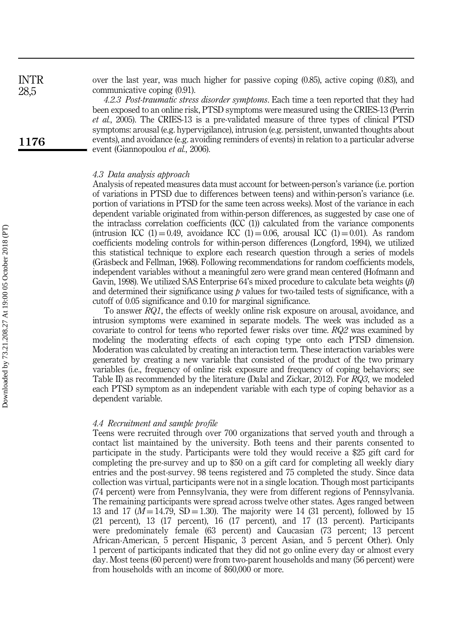over the last year, was much higher for passive coping (0.85), active coping (0.83), and communicative coping (0.91).

4.2.3 Post-traumatic stress disorder symptoms. Each time a teen reported that they had been exposed to an online risk, PTSD symptoms were measured using the CRIES-13 (Perrin et al., 2005). The CRIES-13 is a pre-validated measure of three types of clinical PTSD symptoms: arousal (e.g. hypervigilance), intrusion (e.g. persistent, unwanted thoughts about events), and avoidance (e.g. avoiding reminders of events) in relation to a particular adverse event (Giannopoulou et al., 2006).

#### 4.3 Data analysis approach

Analysis of repeated measures data must account for between-person's variance (i.e. portion of variations in PTSD due to differences between teens) and within-person's variance (i.e. portion of variations in PTSD for the same teen across weeks). Most of the variance in each dependent variable originated from within-person differences, as suggested by case one of the intraclass correlation coefficients (ICC (1)) calculated from the variance components (intrusion ICC (1) = 0.49, avoidance ICC (1) = 0.06, arousal ICC (1) = 0.01). As random coefficients modeling controls for within-person differences (Longford, 1994), we utilized this statistical technique to explore each research question through a series of models (Gräsbeck and Fellman, 1968). Following recommendations for random coefficients models, independent variables without a meaningful zero were grand mean centered (Hofmann and Gavin, 1998). We utilized SAS Enterprise 64's mixed procedure to calculate beta weights  $(\beta)$ and determined their significance using  *values for two-tailed tests of significance, with a* cutoff of 0.05 significance and 0.10 for marginal significance.

To answer RQ1, the effects of weekly online risk exposure on arousal, avoidance, and intrusion symptoms were examined in separate models. The week was included as a covariate to control for teens who reported fewer risks over time. RQ2 was examined by modeling the moderating effects of each coping type onto each PTSD dimension. Moderation was calculated by creating an interaction term. These interaction variables were generated by creating a new variable that consisted of the product of the two primary variables (i.e., frequency of online risk exposure and frequency of coping behaviors; see Table II) as recommended by the literature (Dalal and Zickar, 2012). For RQ3, we modeled each PTSD symptom as an independent variable with each type of coping behavior as a dependent variable.

#### 4.4 Recruitment and sample profile

Teens were recruited through over 700 organizations that served youth and through a contact list maintained by the university. Both teens and their parents consented to participate in the study. Participants were told they would receive a \$25 gift card for completing the pre-survey and up to \$50 on a gift card for completing all weekly diary entries and the post-survey. 98 teens registered and 75 completed the study. Since data collection was virtual, participants were not in a single location. Though most participants (74 percent) were from Pennsylvania, they were from different regions of Pennsylvania. The remaining participants were spread across twelve other states. Ages ranged between 13 and 17 ( $M = 14.79$ , SD = 1.30). The majority were 14 (31 percent), followed by 15 (21 percent), 13 (17 percent), 16 (17 percent), and 17 (13 percent). Participants were predominately female (63 percent) and Caucasian (73 percent; 13 percent African-American, 5 percent Hispanic, 3 percent Asian, and 5 percent Other). Only 1 percent of participants indicated that they did not go online every day or almost every day. Most teens (60 percent) were from two-parent households and many (56 percent) were from households with an income of \$60,000 or more.

1176

INTR 28,5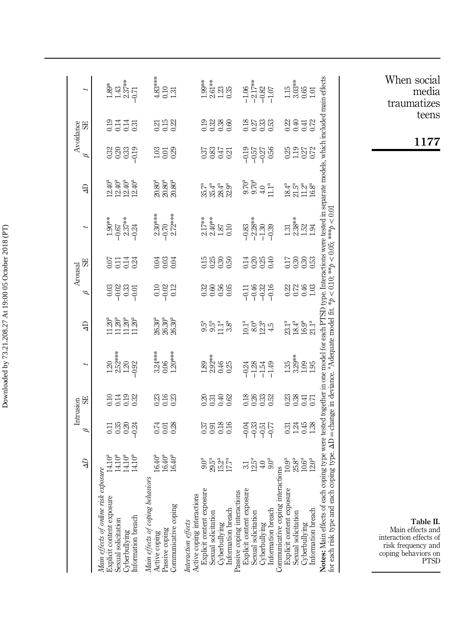|                                                                                                                                                     | $\overline{d}$                               | ρ                    | 55<br>Intrusion      |                                                         | $\overline{d}$              | Θ                                          | 59<br>Arousal                   |                                                                                   | $\overline{d}$                      | Avoidance                    | 59            |                                                                                                                                                                                                                                                                                                                                                                                                                                                                                                                          |
|-----------------------------------------------------------------------------------------------------------------------------------------------------|----------------------------------------------|----------------------|----------------------|---------------------------------------------------------|-----------------------------|--------------------------------------------|---------------------------------|-----------------------------------------------------------------------------------|-------------------------------------|------------------------------|---------------|--------------------------------------------------------------------------------------------------------------------------------------------------------------------------------------------------------------------------------------------------------------------------------------------------------------------------------------------------------------------------------------------------------------------------------------------------------------------------------------------------------------------------|
| Main effects of online risk<br>Explicit content exposure<br>Sexual solicitation<br>Cyberbullying<br>Information breach                              | 14.10ª<br>14.10ª<br>14.10ª<br>14.10ª         |                      | 0.11<br>0.11<br>0.03 | $1.20$<br>$2.52$<br>$-1.20$<br>$-0.92$                  | 20°<br>1120°<br>1120°       | 8885<br>8885                               | 등금결<br>이 그 국 3                  | $\begin{array}{c}\n 1.96\% \\ -0.67 \\ 2.37\% \\ -0.24\n \end{array}$             | ភ្នំ<br>ភូមិ មិន<br>ភូមិ មិន        | 9<br>9839<br>99              | 2335<br>2335  | $\begin{array}{c}\n 36 \\ 243 \\ 145 \\ 0\n \end{array}$                                                                                                                                                                                                                                                                                                                                                                                                                                                                 |
| Main effects of coping behavion<br>Active coping<br>Passive coping<br>Communicative coping                                                          | 16.40ª<br>16.40ª<br>16.40ª                   | ಸ್ತ ಪ್ರಜ             | 33<br>353<br>33      | $\begin{array}{c} 3.24***\\ 0.06\\ 1.20*** \end{array}$ | 26.30ª<br>26.30ª<br>26.30ª  | 010<br>010<br>011                          | ಕ್ಷ್ಣಾಕ್ಷ<br>ರಂ                 | $2.30***$<br>$-0.70$<br>$2.72***$                                                 | 20.80ª<br>20.80ª<br>20.80ª          | 338<br>103                   | ន ដូ<br>ខេត្ត | 4.83**<br>0.10<br>1.31                                                                                                                                                                                                                                                                                                                                                                                                                                                                                                   |
| <i>Interaction effects</i><br>Active coping interactions<br>Explicit content exposure<br>Sexual solicitation<br>Cyberbullying<br>Information breach | ិនី<br>១៩ភូមិ<br>១ និង                       | 33<br>333<br>33      | 2313<br>2313         |                                                         | re re re re<br>The re re re |                                            | 1588<br>1888                    |                                                                                   | 55.4.4<br>56.4.4.9<br>32.32         | 5855                         | 23336<br>2336 | $\begin{array}{l} \stackrel{3}{\cancel{5}} \stackrel{3}{\cancel{5}} \stackrel{4}{\cancel{5}} \stackrel{5}{\cancel{1}} \stackrel{5}{\cancel{2}} \stackrel{5}{\cancel{1}} \stackrel{1}{\cancel{2}} \stackrel{1}{\cancel{5}} \stackrel{1}{\cancel{5}} \stackrel{1}{\cancel{5}} \stackrel{1}{\cancel{5}} \stackrel{1}{\cancel{5}} \stackrel{1}{\cancel{5}} \stackrel{1}{\cancel{5}} \stackrel{1}{\cancel{5}} \stackrel{1}{\cancel{5}} \stackrel{1}{\cancel{5}} \stackrel{1}{\cancel{5}} \stackrel{1}{\cancel{5}} \stackrel{$ |
| Passive coping interactions<br>Explicit content exposure<br>Sexual solicitation<br>Cyberbullying<br>Information breach                              | $\frac{31}{21}$ $\frac{15}{4}$ $\frac{1}{4}$ | 오%요<br>2010년         | 2833<br>2833         | 적 81 표<br>우 구 구 구                                       | 10.13<br>10.23<br>14.14     | 그 <del>4</del> 8 8 9<br>- 구 수 수 구          | 그 8 18 <del>9</del><br>그 8 18 9 | အ<br>အဆို အ<br>၁ ၁ ၁ ၁<br>၁ ၁ ၂ ၁                                                 | $0.70$<br>$0.70$<br>$0.71$<br>$1.1$ | ns 25 25<br>이 이 이 이          | 2533<br>2533  | $-1.06$<br>$-2.17**$<br>$-0.82$<br>$-1.07$                                                                                                                                                                                                                                                                                                                                                                                                                                                                               |
| Communicative coping inter<br>Explicit content exposure<br>Sexual solicitation<br>Cyberbullying<br>Information breach                               | 9.<br>9. 8. 8<br>9. 9. 9. 9                  | 8직용<br>이 기준 X        | 83845<br>83845       | អគ្គរឺ<br>អគ្គរំ<br>ដូច អ្នក                            | 23.1ª<br>23.4ª<br>21.1ª     | 22년<br>23년                                 | 17888<br>1888                   | $\frac{3}{2}$<br>$\frac{3}{2}$<br>$\frac{1}{2}$<br>$\frac{3}{2}$<br>$\frac{1}{2}$ | ឌី ភូ <sub>មី</sub><br>2 ភូមិ ភូមិ  | 8988                         | 원숭학<br>성승     | $\begin{array}{c} 1.5 \\ 3.03 \\ 0.51 \\ 1.01 \end{array}$                                                                                                                                                                                                                                                                                                                                                                                                                                                               |
| for each risk type and each coping type. $\Delta D$ = change in deviance. <sup>a</sup> Adequate model fit<br>n co<br>Notes: Main effects of eac     | mg typ                                       | were tested together |                      | le model i                                              | each P                      | * $p < 0.10$ ; ** $p < 0.05$ ; *** $p < 0$ |                                 | ype. Interactions were tested                                                     |                                     | arate models, which included |               | am effect                                                                                                                                                                                                                                                                                                                                                                                                                                                                                                                |

Table II. Main effects and interaction effects of risk frequency and coping behaviors on PTSD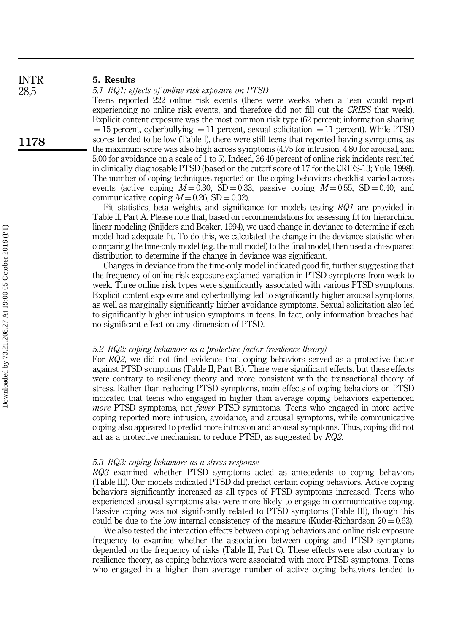28,5

1178

#### 5. Results

#### 5.1 RQ1: effects of online risk exposure on PTSD

Teens reported 222 online risk events (there were weeks when a teen would report experiencing no online risk events, and therefore did not fill out the CRIES that week). Explicit content exposure was the most common risk type (62 percent; information sharing  $=$  15 percent, cyberbullying  $=$  11 percent, sexual solicitation  $=$  11 percent). While PTSD scores tended to be low (Table I), there were still teens that reported having symptoms, as the maximum score was also high across symptoms (4.75 for intrusion, 4.80 for arousal, and 5.00 for avoidance on a scale of 1 to 5). Indeed, 36.40 percent of online risk incidents resulted in clinically diagnosable PTSD (based on the cutoff score of 17 for the CRIES-13; Yule, 1998). The number of coping techniques reported on the coping behaviors checklist varied across events (active coping  $M = 0.30$ , SD = 0.33; passive coping  $M = 0.55$ , SD = 0.40; and communicative coping  $M = 0.26$ , SD = 0.32).

Fit statistics, beta weights, and significance for models testing RQ1 are provided in Table II, Part A. Please note that, based on recommendations for assessing fit for hierarchical linear modeling (Snijders and Bosker, 1994), we used change in deviance to determine if each model had adequate fit. To do this, we calculated the change in the deviance statistic when comparing the time-only model (e.g. the null model) to the final model, then used a chi-squared distribution to determine if the change in deviance was significant.

Changes in deviance from the time-only model indicated good fit, further suggesting that the frequency of online risk exposure explained variation in PTSD symptoms from week to week. Three online risk types were significantly associated with various PTSD symptoms. Explicit content exposure and cyberbullying led to significantly higher arousal symptoms, as well as marginally significantly higher avoidance symptoms. Sexual solicitation also led to significantly higher intrusion symptoms in teens. In fact, only information breaches had no significant effect on any dimension of PTSD.

#### 5.2 RQ2: coping behaviors as a protective factor (resilience theory)

For RQ2, we did not find evidence that coping behaviors served as a protective factor against PTSD symptoms (Table II, Part B.). There were significant effects, but these effects were contrary to resiliency theory and more consistent with the transactional theory of stress. Rather than reducing PTSD symptoms, main effects of coping behaviors on PTSD indicated that teens who engaged in higher than average coping behaviors experienced *more* PTSD symptoms, not *fewer* PTSD symptoms. Teens who engaged in more active coping reported more intrusion, avoidance, and arousal symptoms, while communicative coping also appeared to predict more intrusion and arousal symptoms. Thus, coping did not act as a protective mechanism to reduce PTSD, as suggested by RQ2.

#### 5.3 RQ3: coping behaviors as a stress response

RQ3 examined whether PTSD symptoms acted as antecedents to coping behaviors (Table III). Our models indicated PTSD did predict certain coping behaviors. Active coping behaviors significantly increased as all types of PTSD symptoms increased. Teens who experienced arousal symptoms also were more likely to engage in communicative coping. Passive coping was not significantly related to PTSD symptoms (Table III), though this could be due to the low internal consistency of the measure (Kuder-Richardson  $20 = 0.63$ ).

We also tested the interaction effects between coping behaviors and online risk exposure frequency to examine whether the association between coping and PTSD symptoms depended on the frequency of risks (Table II, Part C). These effects were also contrary to resilience theory, as coping behaviors were associated with more PTSD symptoms. Teens who engaged in a higher than average number of active coping behaviors tended to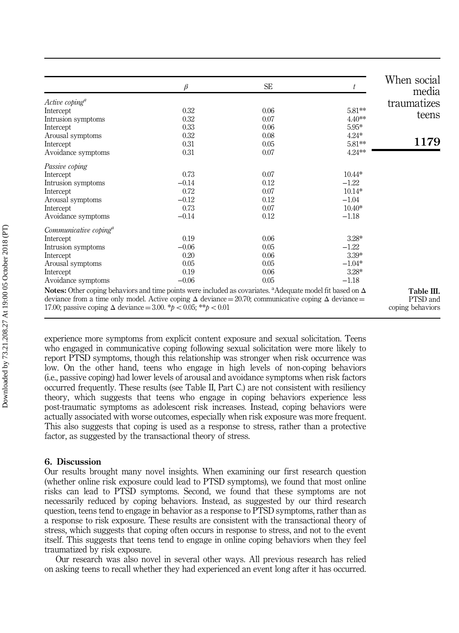|                                                                                                                                                                                                                                                                                                                                    | β       | <b>SE</b> | t        | When social<br>media                       |
|------------------------------------------------------------------------------------------------------------------------------------------------------------------------------------------------------------------------------------------------------------------------------------------------------------------------------------|---------|-----------|----------|--------------------------------------------|
| $Active\ coping^a$                                                                                                                                                                                                                                                                                                                 |         |           |          |                                            |
| Intercept                                                                                                                                                                                                                                                                                                                          | 0.32    | 0.06      | 5.81**   | traumatizes                                |
| Intrusion symptoms                                                                                                                                                                                                                                                                                                                 | 0.32    | 0.07      | $4.40**$ | teens                                      |
| Intercept                                                                                                                                                                                                                                                                                                                          | 0.33    | 0.06      | $5.95*$  |                                            |
| Arousal symptoms                                                                                                                                                                                                                                                                                                                   | 0.32    | 0.08      | $4.24*$  |                                            |
| Intercept                                                                                                                                                                                                                                                                                                                          | 0.31    | 0.05      | 5.81**   | 1179                                       |
| Avoidance symptoms                                                                                                                                                                                                                                                                                                                 | 0.31    | 0.07      | 4.24**   |                                            |
| Passive coping                                                                                                                                                                                                                                                                                                                     |         |           |          |                                            |
| Intercept                                                                                                                                                                                                                                                                                                                          | 0.73    | 0.07      | $10.44*$ |                                            |
| Intrusion symptoms                                                                                                                                                                                                                                                                                                                 | $-0.14$ | 0.12      | $-1.22$  |                                            |
| Intercept                                                                                                                                                                                                                                                                                                                          | 0.72    | 0.07      | $10.14*$ |                                            |
| Arousal symptoms                                                                                                                                                                                                                                                                                                                   | $-0.12$ | 0.12      | $-1.04$  |                                            |
| Intercept                                                                                                                                                                                                                                                                                                                          | 0.73    | 0.07      | $10.40*$ |                                            |
| Avoidance symptoms                                                                                                                                                                                                                                                                                                                 | $-0.14$ | 0.12      | $-1.18$  |                                            |
| Communicative coping <sup>a</sup>                                                                                                                                                                                                                                                                                                  |         |           |          |                                            |
| Intercept                                                                                                                                                                                                                                                                                                                          | 0.19    | 0.06      | $3.28*$  |                                            |
| Intrusion symptoms                                                                                                                                                                                                                                                                                                                 | $-0.06$ | 0.05      | $-1.22$  |                                            |
| Intercept                                                                                                                                                                                                                                                                                                                          | 0.20    | 0.06      | 3.39*    |                                            |
| Arousal symptoms                                                                                                                                                                                                                                                                                                                   | 0.05    | 0.05      | $-1.04*$ |                                            |
| Intercept                                                                                                                                                                                                                                                                                                                          | 0.19    | 0.06      | $3.28*$  |                                            |
| Avoidance symptoms                                                                                                                                                                                                                                                                                                                 | $-0.06$ | 0.05      | $-1.18$  |                                            |
| <b>Notes:</b> Other coping behaviors and time points were included as covariates. <sup>a</sup> Adequate model fit based on $\Delta$<br>deviance from a time only model. Active coping $\Delta$ deviance = 20.70; communicative coping $\Delta$ deviance =<br>17.00; passive coping $\Delta$ deviance = 3.00, *p < 0.05; **p < 0.01 |         |           |          | Table III.<br>PTSD and<br>coping behaviors |

experience more symptoms from explicit content exposure and sexual solicitation. Teens who engaged in communicative coping following sexual solicitation were more likely to report PTSD symptoms, though this relationship was stronger when risk occurrence was low. On the other hand, teens who engage in high levels of non-coping behaviors (i.e., passive coping) had lower levels of arousal and avoidance symptoms when risk factors occurred frequently. These results (see Table II, Part C.) are not consistent with resiliency theory, which suggests that teens who engage in coping behaviors experience less post-traumatic symptoms as adolescent risk increases. Instead, coping behaviors were actually associated with worse outcomes, especially when risk exposure was more frequent. This also suggests that coping is used as a response to stress, rather than a protective factor, as suggested by the transactional theory of stress.

#### 6. Discussion

Our results brought many novel insights. When examining our first research question (whether online risk exposure could lead to PTSD symptoms), we found that most online risks can lead to PTSD symptoms. Second, we found that these symptoms are not necessarily reduced by coping behaviors. Instead, as suggested by our third research question, teens tend to engage in behavior as a response to PTSD symptoms, rather than as a response to risk exposure. These results are consistent with the transactional theory of stress, which suggests that coping often occurs in response to stress, and not to the event itself. This suggests that teens tend to engage in online coping behaviors when they feel traumatized by risk exposure.

Our research was also novel in several other ways. All previous research has relied on asking teens to recall whether they had experienced an event long after it has occurred.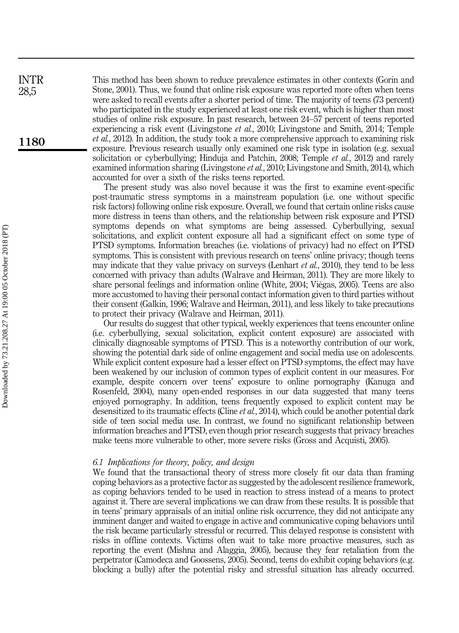This method has been shown to reduce prevalence estimates in other contexts (Gorin and Stone, 2001). Thus, we found that online risk exposure was reported more often when teens were asked to recall events after a shorter period of time. The majority of teens (73 percent) who participated in the study experienced at least one risk event, which is higher than most studies of online risk exposure. In past research, between 24–57 percent of teens reported experiencing a risk event (Livingstone *et al.*, 2010; Livingstone and Smith, 2014; Temple et al., 2012). In addition, the study took a more comprehensive approach to examining risk exposure. Previous research usually only examined one risk type in isolation (e.g. sexual solicitation or cyberbullying; Hinduja and Patchin, 2008; Temple et al., 2012) and rarely examined information sharing (Livingstone *et al.*, 2010; Livingstone and Smith, 2014), which accounted for over a sixth of the risks teens reported.

The present study was also novel because it was the first to examine event-specific post-traumatic stress symptoms in a mainstream population (i.e. one without specific risk factors) following online risk exposure. Overall, we found that certain online risks cause more distress in teens than others, and the relationship between risk exposure and PTSD symptoms depends on what symptoms are being assessed. Cyberbullying, sexual solicitations, and explicit content exposure all had a significant effect on some type of PTSD symptoms. Information breaches (i.e. violations of privacy) had no effect on PTSD symptoms. This is consistent with previous research on teens' online privacy; though teens may indicate that they value privacy on surveys (Lenhart *et al.*, 2010), they tend to be less concerned with privacy than adults (Walrave and Heirman, 2011). They are more likely to share personal feelings and information online (White, 2004; Viégas, 2005). Teens are also more accustomed to having their personal contact information given to third parties without their consent (Galkin, 1996; Walrave and Heirman, 2011), and less likely to take precautions to protect their privacy (Walrave and Heirman, 2011).

Our results do suggest that other typical, weekly experiences that teens encounter online (i.e. cyberbullying, sexual solicitation, explicit content exposure) are associated with clinically diagnosable symptoms of PTSD. This is a noteworthy contribution of our work, showing the potential dark side of online engagement and social media use on adolescents. While explicit content exposure had a lesser effect on PTSD symptoms, the effect may have been weakened by our inclusion of common types of explicit content in our measures. For example, despite concern over teens' exposure to online pornography (Kanuga and Rosenfeld, 2004), many open-ended responses in our data suggested that many teens enjoyed pornography. In addition, teens frequently exposed to explicit content may be desensitized to its traumatic effects (Cline *et al.*, 2014), which could be another potential dark side of teen social media use. In contrast, we found no significant relationship between information breaches and PTSD, even though prior research suggests that privacy breaches make teens more vulnerable to other, more severe risks (Gross and Acquisti, 2005).

#### 6.1 Implications for theory, policy, and design

We found that the transactional theory of stress more closely fit our data than framing coping behaviors as a protective factor as suggested by the adolescent resilience framework, as coping behaviors tended to be used in reaction to stress instead of a means to protect against it. There are several implications we can draw from these results. It is possible that in teens' primary appraisals of an initial online risk occurrence, they did not anticipate any imminent danger and waited to engage in active and communicative coping behaviors until the risk became particularly stressful or recurred. This delayed response is consistent with risks in offline contexts. Victims often wait to take more proactive measures, such as reporting the event (Mishna and Alaggia, 2005), because they fear retaliation from the perpetrator (Camodeca and Goossens, 2005). Second, teens do exhibit coping behaviors (e.g. blocking a bully) after the potential risky and stressful situation has already occurred.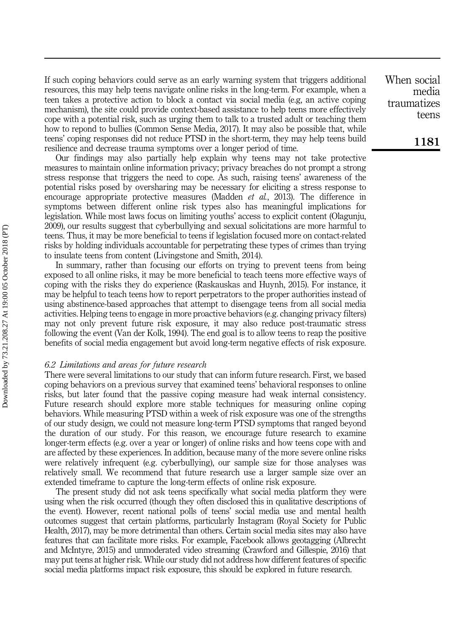If such coping behaviors could serve as an early warning system that triggers additional resources, this may help teens navigate online risks in the long-term. For example, when a teen takes a protective action to block a contact via social media (e.g, an active coping mechanism), the site could provide context-based assistance to help teens more effectively cope with a potential risk, such as urging them to talk to a trusted adult or teaching them how to repond to bullies (Common Sense Media, 2017). It may also be possible that, while teens' coping responses did not reduce PTSD in the short-term, they may help teens build resilience and decrease trauma symptoms over a longer period of time.

Our findings may also partially help explain why teens may not take protective measures to maintain online information privacy; privacy breaches do not prompt a strong stress response that triggers the need to cope. As such, raising teens' awareness of the potential risks posed by oversharing may be necessary for eliciting a stress response to encourage appropriate protective measures (Madden et al., 2013). The difference in symptoms between different online risk types also has meaningful implications for legislation. While most laws focus on limiting youths' access to explicit content (Olagunju, 2009), our results suggest that cyberbullying and sexual solicitations are more harmful to teens. Thus, it may be more beneficial to teens if legislation focused more on contact-related risks by holding individuals accountable for perpetrating these types of crimes than trying to insulate teens from content (Livingstone and Smith, 2014).

In summary, rather than focusing our efforts on trying to prevent teens from being exposed to all online risks, it may be more beneficial to teach teens more effective ways of coping with the risks they do experience (Raskauskas and Huynh, 2015). For instance, it may be helpful to teach teens how to report perpetrators to the proper authorities instead of using abstinence-based approaches that attempt to disengage teens from all social media activities. Helping teens to engage in more proactive behaviors (e.g. changing privacy filters) may not only prevent future risk exposure, it may also reduce post-traumatic stress following the event (Van der Kolk, 1994). The end goal is to allow teens to reap the positive benefits of social media engagement but avoid long-term negative effects of risk exposure.

#### 6.2 Limitations and areas for future research

There were several limitations to our study that can inform future research. First, we based coping behaviors on a previous survey that examined teens' behavioral responses to online risks, but later found that the passive coping measure had weak internal consistency. Future research should explore more stable techniques for measuring online coping behaviors. While measuring PTSD within a week of risk exposure was one of the strengths of our study design, we could not measure long-term PTSD symptoms that ranged beyond the duration of our study. For this reason, we encourage future research to examine longer-term effects (e.g. over a year or longer) of online risks and how teens cope with and are affected by these experiences. In addition, because many of the more severe online risks were relatively infrequent (e.g. cyberbullying), our sample size for those analyses was relatively small. We recommend that future research use a larger sample size over an extended timeframe to capture the long-term effects of online risk exposure.

The present study did not ask teens specifically what social media platform they were using when the risk occurred (though they often disclosed this in qualitative descriptions of the event). However, recent national polls of teens' social media use and mental health outcomes suggest that certain platforms, particularly Instagram (Royal Society for Public Health, 2017), may be more detrimental than others. Certain social media sites may also have features that can facilitate more risks. For example, Facebook allows geotagging (Albrecht and McIntyre, 2015) and unmoderated video streaming (Crawford and Gillespie, 2016) that may put teens at higher risk. While our study did not address how different features of specific social media platforms impact risk exposure, this should be explored in future research.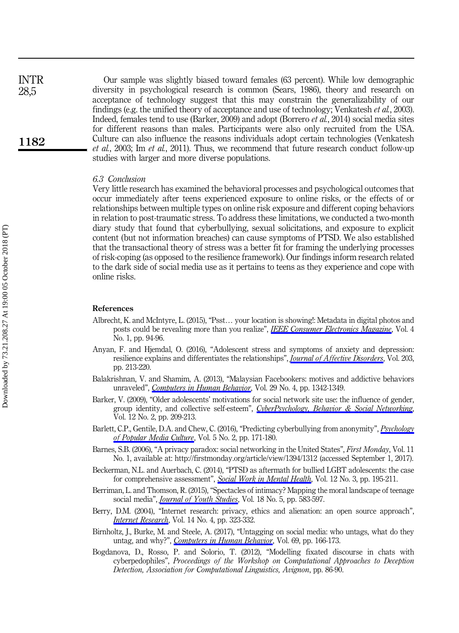| INTR | Our sample was slightly biased toward females (63 percent). While low demographic                         |
|------|-----------------------------------------------------------------------------------------------------------|
| 28,5 | diversity in psychological research is common (Sears, 1986), theory and research on                       |
|      | acceptance of technology suggest that this may constrain the generalizability of our                      |
|      | findings (e.g. the unified theory of acceptance and use of technology; Venkatesh et al., 2003).           |
|      | Indeed, females tend to use (Barker, 2009) and adopt (Borrero <i>et al.</i> , 2014) social media sites    |
|      | for different reasons than males. Participants were also only recruited from the USA.                     |
| 1182 | Culture can also influence the reasons individuals adopt certain technologies (Venkatesh                  |
|      | <i>et al.</i> , 2003; Im <i>et al.</i> , 2011). Thus, we recommend that future research conduct follow-up |
|      | studies with larger and more diverse populations.                                                         |

#### 6.3 Conclusion

Very little research has examined the behavioral processes and psychological outcomes that occur immediately after teens experienced exposure to online risks, or the effects of or relationships between multiple types on online risk exposure and different coping behaviors in relation to post-traumatic stress. To address these limitations, we conducted a two-month diary study that found that cyberbullying, sexual solicitations, and exposure to explicit content (but not information breaches) can cause symptoms of PTSD. We also established that the transactional theory of stress was a better fit for framing the underlying processes of risk-coping (as opposed to the resilience framework). Our findings inform research related to the dark side of social media use as it pertains to teens as they experience and cope with online risks.

#### References

- Albrecht, K. and McIntyre, L. (2015), "Psst… your location is showing!: Metadata in digital photos and posts could be revealing more than you realize", *[IEEE Consumer Electronics Magazine](https://www.emeraldinsight.com/action/showLinks?doi=10.1108%2FIntR-02-2017-0077&crossref=10.1109%2FMCE.2014.2360059&isi=000390405600026&citationId=p_1)*, Vol. 4 No. 1, pp. 94-96.
- Anyan, F. and Hjemdal, O. (2016), "Adolescent stress and symptoms of anxiety and depression: resilience explains and differentiates the relationships", *[Journal of Affective Disorders](https://www.emeraldinsight.com/action/showLinks?doi=10.1108%2FIntR-02-2017-0077&crossref=10.1016%2Fj.jad.2016.05.031&isi=000381836200027&citationId=p_2)*, Vol. 203, pp. 213-220.
- Balakrishnan, V. and Shamim, A. (2013), "Malaysian Facebookers: motives and addictive behaviors unraveled", [Computers in Human Behavior](https://www.emeraldinsight.com/action/showLinks?doi=10.1108%2FIntR-02-2017-0077&crossref=10.1016%2Fj.chb.2013.01.010&isi=000319090200010&citationId=p_3), Vol. 29 No. 4, pp. 1342-1349.
- Barker, V. (2009), "Older adolescents' motivations for social network site use: the influence of gender, group identity, and collective self-esteem", [CyberPsychology, Behavior & Social Networking](https://www.emeraldinsight.com/action/showLinks?doi=10.1108%2FIntR-02-2017-0077&crossref=10.1089%2Fcpb.2008.0228&citationId=p_4), Vol. 12 No. 2, pp. 209-213.
- Barlett, C.P., Gentile, D.A. and Chew, C. (2016), "Predicting cyberbullying from anonymity", [Psychology](https://www.emeraldinsight.com/action/showLinks?doi=10.1108%2FIntR-02-2017-0077&crossref=10.1037%2Fppm0000055&isi=000439059200006&citationId=p_5) [of Popular Media Culture](https://www.emeraldinsight.com/action/showLinks?doi=10.1108%2FIntR-02-2017-0077&crossref=10.1037%2Fppm0000055&isi=000439059200006&citationId=p_5), Vol. 5 No. 2, pp. 171-180.
- Barnes, S.B. (2006), "A privacy paradox: social networking in the United States", First Monday, Vol. 11 No. 1, available at:<http://firstmonday.org/article/view/1394/1312> (accessed September 1, 2017).
- Beckerman, N.L. and Auerbach, C. (2014), "PTSD as aftermath for bullied LGBT adolescents: the case for comprehensive assessment", [Social Work in Mental Health](https://www.emeraldinsight.com/action/showLinks?doi=10.1108%2FIntR-02-2017-0077&crossref=10.1080%2F15332985.2014.888026&citationId=p_7), Vol. 12 No. 3, pp. 195-211.
- Berriman, L. and Thomson, R. (2015), "Spectacles of intimacy? Mapping the moral landscape of teenage social media", *[Journal of Youth Studies](https://www.emeraldinsight.com/action/showLinks?doi=10.1108%2FIntR-02-2017-0077&crossref=10.1080%2F13676261.2014.992323&isi=000351912100003&citationId=p_8)*, Vol. 18 No. 5, pp. 583-597.
- Berry, D.M. (2004), "Internet research: privacy, ethics and alienation: an open source approach", *[Internet Research](https://www.emeraldinsight.com/action/showLinks?doi=10.1108%2FIntR-02-2017-0077&system=10.1108%2F10662240410555333&isi=000224331200006&citationId=p_9)*, Vol. 14 No. 4, pp. 323-332.
- Birnholtz, J., Burke, M. and Steele, A. (2017), "Untagging on social media: who untags, what do they untag, and why?", [Computers in Human Behavior](https://www.emeraldinsight.com/action/showLinks?doi=10.1108%2FIntR-02-2017-0077&crossref=10.1016%2Fj.chb.2016.12.008&isi=000394062900019&citationId=p_10), Vol. 69, pp. 166-173.
- Bogdanova, D., Rosso, P. and Solorio, T. (2012), "Modelling fixated discourse in chats with cyberpedophiles", Proceedings of the Workshop on Computational Approaches to Deception Detection, Association for Computational Linguistics, Avignon, pp. 86-90.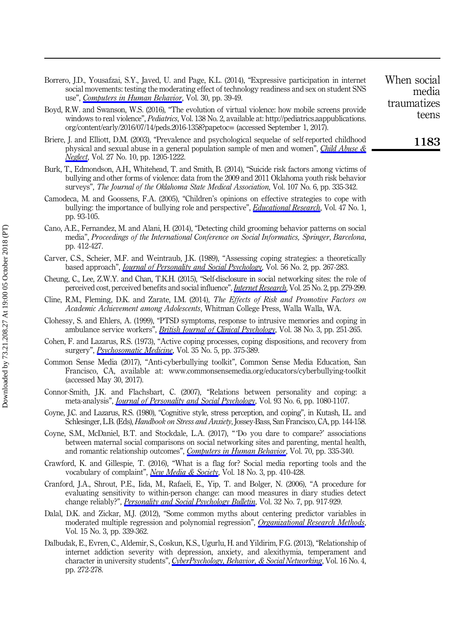- Borrero, J.D., Yousafzai, S.Y., Javed, U. and Page, K.L. (2014), "Expressive participation in internet social movements: testing the moderating effect of technology readiness and sex on student SNS use", *[Computers in Human Behavior](https://www.emeraldinsight.com/action/showLinks?doi=10.1108%2FIntR-02-2017-0077&crossref=10.1016%2Fj.chb.2013.07.032&isi=000330090900005&citationId=p_12)*, Vol. 30, pp. 39-49.
- Boyd, R.W. and Swanson, W.S. (2016), "The evolution of virtual violence: how mobile screens provide windows to real violence", *Pediatrics*, Vol. 138 No. 2, available at: [http://pediatrics.aappublications.](http://pediatrics.aappublications.org/content/early/2016/07/14/peds.2016-1358?papetoc=) [org/content/early/2016/07/14/peds.2016-1358?papetoc](http://pediatrics.aappublications.org/content/early/2016/07/14/peds.2016-1358?papetoc=)= (accessed September 1, 2017).
- Briere, J. and Elliott, D.M. (2003), "Prevalence and psychological sequelae of self-reported childhood physical and sexual abuse in a general population sample of men and women", [Child Abuse &](https://www.emeraldinsight.com/action/showLinks?doi=10.1108%2FIntR-02-2017-0077&crossref=10.1016%2Fj.chiabu.2003.09.008&isi=000186853500008&citationId=p_14) [Neglect](https://www.emeraldinsight.com/action/showLinks?doi=10.1108%2FIntR-02-2017-0077&crossref=10.1016%2Fj.chiabu.2003.09.008&isi=000186853500008&citationId=p_14), Vol. 27 No. 10, pp. 1205-1222.
- Burk, T., Edmondson, A.H., Whitehead, T. and Smith, B. (2014), "Suicide risk factors among victims of bullying and other forms of violence: data from the 2009 and 2011 Oklahoma youth risk behavior surveys", The Journal of the Oklahoma State Medical Association, Vol. 107 No. 6, pp. 335-342.
- Camodeca, M. and Goossens, F.A. (2005), "Children's opinions on effective strategies to cope with bullying: the importance of bullying role and perspective", *[Educational Research](https://www.emeraldinsight.com/action/showLinks?doi=10.1108%2FIntR-02-2017-0077&crossref=10.1080%2F0013188042000337587&isi=000228061900006&citationId=p_16)*, Vol. 47 No. 1, pp. 93-105.
- Cano, A.E., Fernandez, M. and Alani, H. (2014), "Detecting child grooming behavior patterns on social media", Proceedings of the International Conference on Social Informatics, Springer, Barcelona, pp. 412-427.
- Carver, C.S., Scheier, M.F. and Weintraub, J.K. (1989), "Assessing coping strategies: a theoretically based approach", [Journal of Personality and Social Psychology](https://www.emeraldinsight.com/action/showLinks?doi=10.1108%2FIntR-02-2017-0077&crossref=10.1037%2F0022-3514.56.2.267&isi=A1989T083700013&citationId=p_18), Vol. 56 No. 2, pp. 267-283.
- Cheung, C., Lee, Z.W.Y. and Chan, T.K.H. (2015), "Self-disclosure in social networking sites: the role of perceived cost, perceived benefits and social influence", [Internet Research](https://www.emeraldinsight.com/action/showLinks?doi=10.1108%2FIntR-02-2017-0077&system=10.1108%2FIntR-09-2013-0192&isi=000352105300007&citationId=p_19), Vol. 25 No. 2, pp. 279-299.
- Cline, R.M., Fleming, D.K. and Zarate, I.M. (2014), The Effects of Risk and Promotive Factors on Academic Achievement among Adolescents, Whitman College Press, Walla Walla, WA.
- Clohessy, S. and Ehlers, A. (1999), "PTSD symptoms, response to intrusive memories and coping in ambulance service workers", *[British Journal of Clinical Psychology](https://www.emeraldinsight.com/action/showLinks?doi=10.1108%2FIntR-02-2017-0077&crossref=10.1348%2F014466599162836&isi=000082682000003&citationId=p_21)*, Vol. 38 No. 3, pp. 251-265.
- Cohen, F. and Lazarus, R.S. (1973), "Active coping processes, coping dispositions, and recovery from surgery", [Psychosomatic Medicine](https://www.emeraldinsight.com/action/showLinks?doi=10.1108%2FIntR-02-2017-0077&crossref=10.1097%2F00006842-197309000-00002&isi=A1973Q897900002&citationId=p_22), Vol. 35 No. 5, pp. 375-389.
- Common Sense Media (2017), "Anti-cyberbullying toolkit", Common Sense Media Education, San Francisco, CA, available at:<www.commonsensemedia.org/educators/cyberbullying-toolkit> (accessed May 30, 2017).
- Connor-Smith, J.K. and Flachsbart, C. (2007), "Relations between personality and coping: a meta-analysis", *[Journal of Personality and Social Psychology](https://www.emeraldinsight.com/action/showLinks?doi=10.1108%2FIntR-02-2017-0077&crossref=10.1037%2F0022-3514.93.6.1080&isi=000251341800012&citationId=p_24)*, Vol. 93 No. 6, pp. 1080-1107.
- Coyne, J.C. and Lazarus, R.S. (1980), "Cognitive style, stress perception, and coping", in Kutash, I.L. and Schlesinger, L.B. (Eds), Handbook on Stress and Anxiety, Jossey-Bass, San Francisco, CA, pp. 144-158.
- Coyne, S.M., McDaniel, B.T. and Stockdale, L.A. (2017), " 'Do you dare to compare?' associations between maternal social comparisons on social networking sites and parenting, mental health, and romantic relationship outcomes", [Computers in Human Behavior](https://www.emeraldinsight.com/action/showLinks?doi=10.1108%2FIntR-02-2017-0077&crossref=10.1016%2Fj.chb.2016.12.081&isi=000396949400037&citationId=p_26), Vol. 70, pp. 335-340.
- Crawford, K. and Gillespie, T. (2016), "What is a flag for? Social media reporting tools and the vocabulary of complaint", [New Media & Society](https://www.emeraldinsight.com/action/showLinks?doi=10.1108%2FIntR-02-2017-0077&crossref=10.1177%2F1461444814543163&isi=000371645500004&citationId=p_27), Vol. 18 No. 3, pp. 410-428.
- Cranford, J.A., Shrout, P.E., Iida, M., Rafaeli, E., Yip, T. and Bolger, N. (2006), "A procedure for evaluating sensitivity to within-person change: can mood measures in diary studies detect change reliably?", *[Personality and Social Psychology Bulletin](https://www.emeraldinsight.com/action/showLinks?doi=10.1108%2FIntR-02-2017-0077&crossref=10.1177%2F0146167206287721&isi=000238358100006&citationId=p_28)*, Vol. 32 No. 7, pp. 917-929.
- Dalal, D.K. and Zickar, M.J. (2012), "Some common myths about centering predictor variables in moderated multiple regression and polynomial regression", *[Organizational Research Methods](https://www.emeraldinsight.com/action/showLinks?doi=10.1108%2FIntR-02-2017-0077&crossref=10.1177%2F1094428111430540&isi=000305008300001&citationId=p_29)*, Vol. 15 No. 3, pp. 339-362.
- Dalbudak, E., Evren, C., Aldemir, S., Coskun, K.S., Ugurlu, H. and Yildirim, F.G. (2013), "Relationship of internet addiction severity with depression, anxiety, and alexithymia, temperament and character in university students", [CyberPsychology, Behavior, & Social Networking](https://www.emeraldinsight.com/action/showLinks?doi=10.1108%2FIntR-02-2017-0077&crossref=10.1089%2Fcyber.2012.0390&isi=000317473300007&citationId=p_30), Vol. 16 No. 4, pp. 272-278.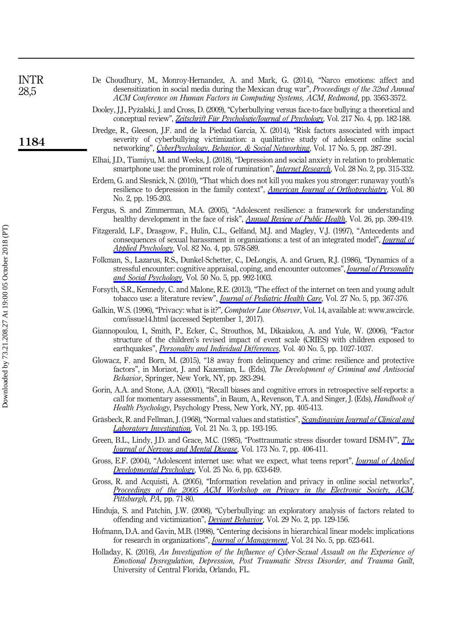| <b>INTR</b><br>28,5 | De Choudhury, M., Monroy-Hernandez, A. and Mark, G. (2014), "Narco emotions: affect and<br>desensitization in social media during the Mexican drug war", Proceedings of the 32nd Annual<br>ACM Conference on Human Factors in Computing Systems, ACM, Redmond, pp. 3563-3572.              |
|---------------------|--------------------------------------------------------------------------------------------------------------------------------------------------------------------------------------------------------------------------------------------------------------------------------------------|
|                     | Dooley, I.I., Pyżalski, I. and Cross, D. (2009), "Cyberbullying versus face-to-face bullying: a theoretical and<br>conceptual review", Zeitschrift Für Psychologie/Journal of Psychology, Vol. 217 No. 4, pp. 182-188.                                                                     |
| 1184                | Dredge, R., Gleeson, J.F. and de la Piedad Garcia, X. (2014), "Risk factors associated with impact<br>severity of cyberbullying victimization: a qualitative study of adolescent online social<br>networking", CyberPsychology, Behavior, & Social Networking, Vol. 17 No. 5, pp. 287-291. |
|                     | Elhai, J.D., Tiamiyu, M. and Weeks, J. (2018), "Depression and social anxiety in relation to problematic<br>smartphone use: the prominent role of rumination", <i>Internet Research</i> , Vol. 28 No. 2, pp. 315-332.                                                                      |
|                     |                                                                                                                                                                                                                                                                                            |

- Erdem, G. and Slesnick, N. (2010), "That which does not kill you makes you stronger: runaway youth's resilience to depression in the family context", *[American Journal of Orthopsychiatry](https://www.emeraldinsight.com/action/showLinks?doi=10.1108%2FIntR-02-2017-0077&crossref=10.1111%2Fj.1939-0025.2010.01023.x&isi=000278033100006&citationId=p_35)*, Vol. 80 No. 2, pp. 195-203.
- Fergus, S. and Zimmerman, M.A. (2005), "Adolescent resilience: a framework for understanding healthy development in the face of risk", *[Annual Review of Public Health](https://www.emeraldinsight.com/action/showLinks?doi=10.1108%2FIntR-02-2017-0077&crossref=10.1146%2Fannurev.publhealth.26.021304.144357&isi=000228981500018&citationId=p_36)*, Vol. 26, pp. 399-419.
- Fitzgerald, L.F., Drasgow, F., Hulin, C.L., Gelfand, M.J. and Magley, V.J. (1997), "Antecedents and consequences of sexual harassment in organizations: a test of an integrated model", *[Journal of](https://www.emeraldinsight.com/action/showLinks?doi=10.1108%2FIntR-02-2017-0077&crossref=10.1037%2F0021-9010.82.4.578&isi=A1997XR12500011&citationId=p_37)* [Applied Psychology](https://www.emeraldinsight.com/action/showLinks?doi=10.1108%2FIntR-02-2017-0077&crossref=10.1037%2F0021-9010.82.4.578&isi=A1997XR12500011&citationId=p_37), Vol. 82 No. 4, pp. 578-589.
- Folkman, S., Lazarus, R.S., Dunkel-Schetter, C., DeLongis, A. and Gruen, R.J. (1986), "Dynamics of a stressful encounter: cognitive appraisal, coping, and encounter outcomes", *[Journal of Personality](https://www.emeraldinsight.com/action/showLinks?doi=10.1108%2FIntR-02-2017-0077&crossref=10.1037%2F0022-3514.50.5.992&isi=A1986C306700013&citationId=p_38)* [and Social Psychology](https://www.emeraldinsight.com/action/showLinks?doi=10.1108%2FIntR-02-2017-0077&crossref=10.1037%2F0022-3514.50.5.992&isi=A1986C306700013&citationId=p_38), Vol. 50 No. 5, pp. 992-1003.
- Forsyth, S.R., Kennedy, C. and Malone, R.E. (2013), "The effect of the internet on teen and young adult tobacco use: a literature review", *[Journal of Pediatric Health Care](https://www.emeraldinsight.com/action/showLinks?doi=10.1108%2FIntR-02-2017-0077&crossref=10.1016%2Fj.pedhc.2012.02.008&isi=000325474900008&citationId=p_39)*, Vol. 27 No. 5, pp. 367-376.
- Galkin, W.S. (1996), "Privacy: what is it?", Computer Law Observer, Vol. 14, available at: [www.awcircle.](www.awcircle.com/issue14.html) [com/issue14.html](www.awcircle.com/issue14.html) (accessed September 1, 2017).
- Giannopoulou, I., Smith, P., Ecker, C., Strouthos, M., Dikaiakou, A. and Yule, W. (2006), "Factor structure of the children's revised impact of event scale (CRIES) with children exposed to earthquakes", [Personality and Individual Differences](https://www.emeraldinsight.com/action/showLinks?doi=10.1108%2FIntR-02-2017-0077&crossref=10.1016%2Fj.paid.2005.11.002&isi=000236336700016&citationId=p_41), Vol. 40 No. 5, pp. 1027-1037.
- Glowacz, F. and Born, M. (2015), "18 away from delinquency and crime: resilience and protective factors", in Morizot, J. and Kazemian, L. (Eds), The Development of Criminal and Antisocial Behavior, Springer, New York, NY, pp. 283-294.
- Gorin, A.A. and Stone, A.A. (2001), "Recall biases and cognitive errors in retrospective self-reports: a call for momentary assessments", in Baum, A., Revenson, T.A. and Singer, J. (Eds), Handbook of Health Psychology, Psychology Press, New York, NY, pp. 405-413.
- Gräsbeck, R. and Fellman, J. (1968), "Normal values and statistics", [Scandinavian Journal of Clinical and](https://www.emeraldinsight.com/action/showLinks?doi=10.1108%2FIntR-02-2017-0077&crossref=10.3109%2F00365516809076984&isi=A1968B230300001&citationId=p_44) [Laboratory Investigation](https://www.emeraldinsight.com/action/showLinks?doi=10.1108%2FIntR-02-2017-0077&crossref=10.3109%2F00365516809076984&isi=A1968B230300001&citationId=p_44), Vol. 21 No. 3, pp. 193-195.
- Green, B.L., Lindy, J.D. and Grace, M.C. (1985), "Posttraumatic stress disorder toward DSM-IV", *[The](https://www.emeraldinsight.com/action/showLinks?doi=10.1108%2FIntR-02-2017-0077&crossref=10.1097%2F00005053-198507000-00004&isi=A1985ALW2100004&citationId=p_45)* [Journal of Nervous and Mental Disease](https://www.emeraldinsight.com/action/showLinks?doi=10.1108%2FIntR-02-2017-0077&crossref=10.1097%2F00005053-198507000-00004&isi=A1985ALW2100004&citationId=p_45), Vol. 173 No. 7, pp. 406-411.
- Gross, E.F. (2004), "Adolescent internet use: what we expect, what teens report", *[Journal of Applied](https://www.emeraldinsight.com/action/showLinks?doi=10.1108%2FIntR-02-2017-0077&crossref=10.1016%2Fj.appdev.2004.09.005&isi=000225987900002&citationId=p_46)* [Developmental Psychology](https://www.emeraldinsight.com/action/showLinks?doi=10.1108%2FIntR-02-2017-0077&crossref=10.1016%2Fj.appdev.2004.09.005&isi=000225987900002&citationId=p_46), Vol. 25 No. 6, pp. 633-649.
- Gross, R. and Acquisti, A. (2005), "Information revelation and privacy in online social networks", [Proceedings of the 2005 ACM Workshop on Privacy in the Electronic Society, ACM](https://www.emeraldinsight.com/action/showLinks?doi=10.1108%2FIntR-02-2017-0077&crossref=10.1145%2F1102199.1102214&citationId=p_47), Pittsburgh, PA, pp. 71-80.
- Hinduja, S. and Patchin, J.W. (2008), "Cyberbullying: an exploratory analysis of factors related to offending and victimization", [Deviant Behavior](https://www.emeraldinsight.com/action/showLinks?doi=10.1108%2FIntR-02-2017-0077&crossref=10.1080%2F01639620701457816&isi=000252984900003&citationId=p_48), Vol. 29 No. 2, pp. 129-156.
- Hofmann, D.A. and Gavin, M.B. (1998), "Centering decisions in hierarchical linear models: implications for research in organizations", *[Journal of Management](https://www.emeraldinsight.com/action/showLinks?doi=10.1108%2FIntR-02-2017-0077&crossref=10.1177%2F014920639802400504&isi=000078961700004&citationId=p_49)*, Vol. 24 No. 5, pp. 623-641.
- Holladay, K. (2016), An Investigation of the Influence of Cyber-Sexual Assault on the Experience of Emotional Dysregulation, Depression, Post Traumatic Stress Disorder, and Trauma Guilt, University of Central Florida, Orlando, FL.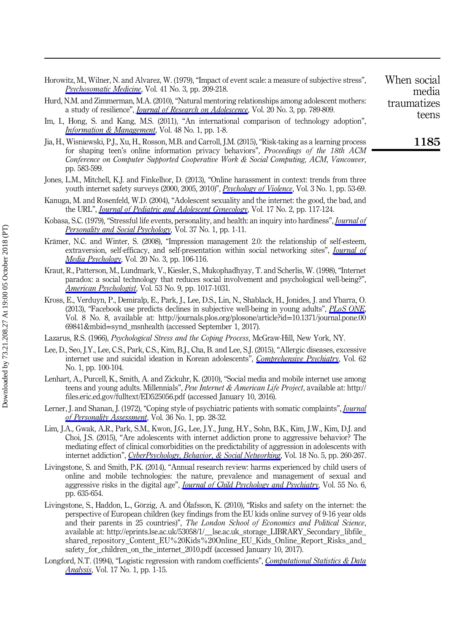- Horowitz, M., Wilner, N. and Alvarez, W. (1979), "Impact of event scale: a measure of subjective stress", [Psychosomatic Medicine](https://www.emeraldinsight.com/action/showLinks?doi=10.1108%2FIntR-02-2017-0077&crossref=10.1097%2F00006842-197905000-00004&isi=A1979HB61200004&citationId=p_51), Vol. 41 No. 3, pp. 209-218.
- Hurd, N.M. and Zimmerman, M.A. (2010), "Natural mentoring relationships among adolescent mothers: a study of resilience", *[Journal of Research on Adolescence](https://www.emeraldinsight.com/action/showLinks?doi=10.1108%2FIntR-02-2017-0077&crossref=10.1111%2Fj.1532-7795.2010.00660.x&isi=000280995500012&citationId=p_52)*, Vol. 20 No. 3, pp. 789-809.
- Im, I., Hong, S. and Kang, M.S. (2011), "An international comparison of technology adoption", [Information & Management](https://www.emeraldinsight.com/action/showLinks?doi=10.1108%2FIntR-02-2017-0077&crossref=10.1016%2Fj.im.2010.09.001&isi=000288407700001&citationId=p_53), Vol. 48 No. 1, pp. 1-8.
- Jia, H., Wisniewski, P.J., Xu, H., Rosson, M.B. and Carroll, J.M. (2015), "Risk-taking as a learning process for shaping teen's online information privacy behaviors", Proceedings of the 18th ACM Conference on Computer Supported Cooperative Work & Social Computing, ACM, Vancouver, pp. 583-599.
- Jones, L.M., Mitchell, K.J. and Finkelhor, D. (2013), "Online harassment in context: trends from three youth internet safety surveys (2000, 2005, 2010)", *[Psychology of Violence](https://www.emeraldinsight.com/action/showLinks?doi=10.1108%2FIntR-02-2017-0077&crossref=10.1037%2Fa0030309&isi=000314745500005&citationId=p_55)*, Vol. 3 No. 1, pp. 53-69.
- Kanuga, M. and Rosenfeld, W.D. (2004), "Adolescent sexuality and the internet: the good, the bad, and the URL", [Journal of Pediatric and Adolescent Gynecology](https://www.emeraldinsight.com/action/showLinks?doi=10.1108%2FIntR-02-2017-0077&crossref=10.1016%2Fj.jpag.2004.01.015&citationId=p_56), Vol. 17 No. 2, pp. 117-124.
- Kobasa, S.C. (1979), "Stressful life events, personality, and health: an inquiry into hardiness", *[Journal of](https://www.emeraldinsight.com/action/showLinks?doi=10.1108%2FIntR-02-2017-0077&crossref=10.1037%2F0022-3514.37.1.1&isi=A1979GJ74000001&citationId=p_57)* [Personality and Social Psychology](https://www.emeraldinsight.com/action/showLinks?doi=10.1108%2FIntR-02-2017-0077&crossref=10.1037%2F0022-3514.37.1.1&isi=A1979GJ74000001&citationId=p_57), Vol. 37 No. 1, pp. 1-11.
- Krämer, N.C. and Winter, S. (2008), "Impression management 2.0: the relationship of self-esteem, extraversion, self-efficacy, and self-presentation within social networking sites", *[Journal of](https://www.emeraldinsight.com/action/showLinks?doi=10.1108%2FIntR-02-2017-0077&crossref=10.1027%2F1864-1105.20.3.106&citationId=p_58)* [Media Psychology](https://www.emeraldinsight.com/action/showLinks?doi=10.1108%2FIntR-02-2017-0077&crossref=10.1027%2F1864-1105.20.3.106&citationId=p_58), Vol. 20 No. 3, pp. 106-116.
- Kraut, R., Patterson, M., Lundmark, V., Kiesler, S., Mukophadhyay, T. and Scherlis, W. (1998), "Internet paradox: a social technology that reduces social involvement and psychological well-being?", [American Psychologist](https://www.emeraldinsight.com/action/showLinks?doi=10.1108%2FIntR-02-2017-0077&crossref=10.1037%2F0003-066X.53.9.1017&isi=000076066200001&citationId=p_59), Vol. 53 No. 9, pp. 1017-1031.
- Kross, E., Verduyn, P., Demiralp, E., Park, J., Lee, D.S., Lin, N., Shablack, H., Jonides, J. and Ybarra, O. (2013), "Facebook use predicts declines in subjective well-being in young adults", [PLoS ONE](https://www.emeraldinsight.com/action/showLinks?doi=10.1108%2FIntR-02-2017-0077&crossref=10.1371%2Fjournal.pone.0069841&citationId=p_60), Vol. 8 No. 8, available at: [http://journals.plos.org/plosone/article?id](http://journals.plos.org/plosone/article?id=10.1371/journal.pone.0069841&mbid=synd_msnhealth)=10.1371/journal.pone.00 69841&mbid=[synd\\_msnhealth](http://journals.plos.org/plosone/article?id=10.1371/journal.pone.0069841&mbid=synd_msnhealth) (accessed September 1, 2017).
- Lazarus, R.S. (1966), Psychological Stress and the Coping Process, McGraw-Hill, New York, NY.
- Lee, D., Seo, J.Y., Lee, C.S., Park, C.S., Kim, B.J., Cha, B. and Lee, S.J. (2015), "Allergic diseases, excessive internet use and suicidal ideation in Korean adolescents", [Comprehensive Psychiatry](https://www.emeraldinsight.com/action/showLinks?doi=10.1108%2FIntR-02-2017-0077&crossref=10.1016%2Fj.comppsych.2015.06.012&citationId=p_62), Vol. 62 No. 1, pp. 100-104.
- Lenhart, A., Purcell, K., Smith, A. and Zickuhr, K. (2010), "Social media and mobile internet use among teens and young adults. Millennials", Pew Internet & American Life Project, available at: [http://](http://files.eric.ed.gov/fulltext/ED525056.pdf) [files.eric.ed.gov/fulltext/ED525056.pdf](http://files.eric.ed.gov/fulltext/ED525056.pdf) (accessed January 10, 2016).
- Lerner, J. and Shanan, J. (1972), "Coping style of psychiatric patients with somatic complaints", [Journal](https://www.emeraldinsight.com/action/showLinks?doi=10.1108%2FIntR-02-2017-0077&crossref=10.1080%2F00223891.1972.10119725&isi=A1972L558100006&citationId=p_64) [of Personality Assessment](https://www.emeraldinsight.com/action/showLinks?doi=10.1108%2FIntR-02-2017-0077&crossref=10.1080%2F00223891.1972.10119725&isi=A1972L558100006&citationId=p_64), Vol. 36 No. 1, pp. 28-32.
- Lim, J.A., Gwak, A.R., Park, S.M., Kwon, J.G., Lee, J.Y., Jung, H.Y., Sohn, B.K., Kim, J.W., Kim, D.J. and Choi, J.S. (2015), "Are adolescents with internet addiction prone to aggressive behavior? The mediating effect of clinical comorbidities on the predictability of aggression in adolescents with internet addiction", [CyberPsychology, Behavior, & Social Networking](https://www.emeraldinsight.com/action/showLinks?doi=10.1108%2FIntR-02-2017-0077&crossref=10.1089%2Fcyber.2014.0568&isi=000354281600003&citationId=p_65), Vol. 18 No. 5, pp. 260-267.
- Livingstone, S. and Smith, P.K. (2014), "Annual research review: harms experienced by child users of online and mobile technologies: the nature, prevalence and management of sexual and aggressive risks in the digital age", *[Journal of Child Psychology and Psychiatry](https://www.emeraldinsight.com/action/showLinks?doi=10.1108%2FIntR-02-2017-0077&crossref=10.1111%2Fjcpp.12197&isi=000336006400010&citationId=p_66)*, Vol. 55 No. 6, pp. 635-654.
- Livingstone, S., Haddon, L., Görzig, A. and Ólafsson, K. (2010), "Risks and safety on the internet: the perspective of European children (key findings from the EU kids online survey of 9-16 year olds and their parents in 25 countries)", The London School of Economics and Political Science, available at: [http://eprints.lse.ac.uk/53058/1/\\_\\_lse.ac.uk\\_storage\\_LIBRARY\\_Secondary\\_libfile\\_](http://eprints.lse.ac.uk/53058/1/__lse.ac.uk_storage_LIBRARY_Secondary_libfile_shared_repository_Content_EU%20Kids%20Online_EU_Kids_Online_Report_Risks_and_safety_for_children_on_the_internet_2010.pdf) [shared\\_repository\\_Content\\_EU%20Kids%20Online\\_EU\\_Kids\\_Online\\_Report\\_Risks\\_and\\_](http://eprints.lse.ac.uk/53058/1/__lse.ac.uk_storage_LIBRARY_Secondary_libfile_shared_repository_Content_EU%20Kids%20Online_EU_Kids_Online_Report_Risks_and_safety_for_children_on_the_internet_2010.pdf) [safety\\_for\\_children\\_on\\_the\\_internet\\_2010.pdf](http://eprints.lse.ac.uk/53058/1/__lse.ac.uk_storage_LIBRARY_Secondary_libfile_shared_repository_Content_EU%20Kids%20Online_EU_Kids_Online_Report_Risks_and_safety_for_children_on_the_internet_2010.pdf) (accessed January 10, 2017).
- Longford, N.T. (1994), "Logistic regression with random coefficients", [Computational Statistics & Data](https://www.emeraldinsight.com/action/showLinks?doi=10.1108%2FIntR-02-2017-0077&crossref=10.1016%2F0167-9473%2892%2900062-V&isi=A1994MT30400001&citationId=p_68) [Analysis](https://www.emeraldinsight.com/action/showLinks?doi=10.1108%2FIntR-02-2017-0077&crossref=10.1016%2F0167-9473%2892%2900062-V&isi=A1994MT30400001&citationId=p_68), Vol. 17 No. 1, pp. 1-15.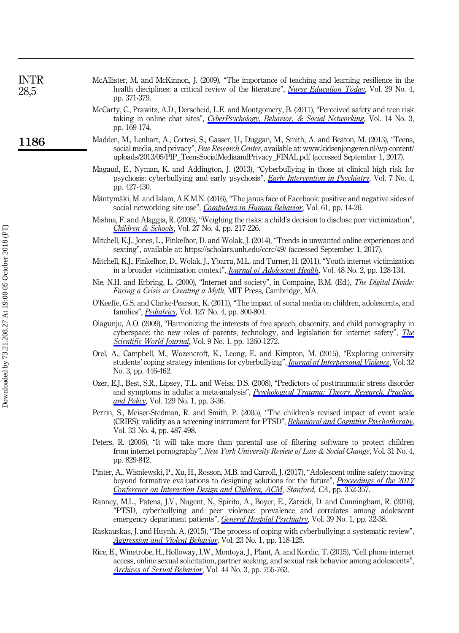| INTR<br>28,5 | McAllister, M. and McKinnon, J. (2009), "The importance of teaching and learning resilience in the<br>health disciplines: a critical review of the literature", <i>Nurse Education Today</i> , Vol. 29 No. 4,<br>pp. 371-379.                                                                        |
|--------------|------------------------------------------------------------------------------------------------------------------------------------------------------------------------------------------------------------------------------------------------------------------------------------------------------|
|              | McCarty, C., Prawitz, A.D., Derscheid, L.E. and Montgomery, B. (2011), "Perceived safety and teen risk<br>taking in online chat sites", CyberPsychology, Behavior, & Social Networking, Vol. 14 No. 3,<br>pp. 169-174.                                                                               |
| 1186         | Madden, M., Lenhart, A., Cortesi, S., Gasser, U., Duggan, M., Smith, A. and Beaton, M. (2013), "Teens,<br>social media, and privacy", Pew Research Center, available at: www.kidsenjongeren.nl/wp-content/<br>uploads/2013/05/PIP_TeensSocialMediaandPrivacy_FINAL.pdf (accessed September 1, 2017). |
|              | Magaud, E., Nyman, K. and Addington, J. (2013), "Cyberbullying in those at clinical high risk for<br>psychosis: cyberbullying and early psychosis", <i>Early Intervention in Psychiatry</i> , Vol. 7 No. 4,<br>pp. 427-430.                                                                          |
|              | Mäntymäki, M. and Islam, A.K.M.N. (2016), "The janus face of Facebook: positive and negative sides of<br>social networking site use", <i>Computers in Human Behavior</i> , Vol. 61, pp. 14-26.                                                                                                       |
|              | Mishna, F. and Alaggia, R. (2005), "Weighing the risks: a child's decision to disclose peer victimization",<br>Children & Schools, Vol. 27 No. 4, pp. 217-226.                                                                                                                                       |
|              | Mitchell, K.J., Jones, L., Finkelhor, D. and Wolak, J. (2014), "Trends in unwanted online experiences and<br>sexting", available at: https://scholars.unh.edu/ccrc/49/ (accessed September 1, 2017).                                                                                                 |
|              | Mitchell, K.J., Finkelhor, D., Wolak, J., Ybarra, M.L. and Turner, H. (2011), "Youth internet victimization<br>in a broader victimization context", <i>Journal of Adolescent Health</i> , Vol. 48 No. 2, pp. 128-134.                                                                                |
|              | Nie, N.H. and Erbring, L. (2000), "Internet and society", in Compaine, B.M. (Ed.), The Digital Divide:<br>Facing a Crisis or Creating a Myth, MIT Press, Cambridge, MA.                                                                                                                              |
|              | O'Keeffe, G.S. and Clarke-Pearson, K. (2011), "The impact of social media on children, adolescents, and<br>families", <i>Pediatrics</i> , Vol. 127 No. 4, pp. 800-804.                                                                                                                               |
|              | Olagunju, A.O. (2009), "Harmonizing the interests of free speech, obscenity, and child pornography in<br>cyberspace: the new roles of parents, technology, and legislation for internet safety", The<br><i>Scientific World Journal</i> , Vol. 9 No. 1, pp. 1260-1272.                               |
|              | Orel, A., Campbell, M., Wozencroft, K., Leong, E. and Kimpton, M. (2015), "Exploring university<br>students' coping strategy intentions for cyberbullying", <i>Journal of Interbersonal Violence</i> , Vol. 32<br>No. 3, pp. 446-462.                                                                |
|              | Ozer, E.J., Best, S.R., Lipsey, T.L. and Weiss, D.S. (2008), "Predictors of posttraumatic stress disorder<br>and symptoms in adults: a meta-analysis", <i>Psychological Trauma: Theory, Research, Practice,</i><br><i>and Policy</i> , Vol. 129 No. 1, pp. 3-36.                                     |
|              | Perrin, S., Meiser-Stedman, R. and Smith, P. (2005), "The children's revised impact of event scale<br>(CRIES): validity as a screening instrument for PTSD", <i>Behavioral and Cognitive Psychotheraby</i> ,<br>Vol. 33 No. 4, pp. 487-498.                                                          |
|              | Peters, R. (2006), "It will take more than parental use of filtering software to protect children<br>from internet pornography", New York University Review of Law & Social Change, Vol. 31 No. 4,<br>pp. 829-842.                                                                                   |
|              | Pinter, A., Wisniewski, P., Xu, H., Rosson, M.B. and Carroll, J. (2017), "Adolescent online safety: moving<br>beyond formative evaluations to designing solutions for the future", <i>Proceedings of the 2017</i><br>Conference on Interaction Design and Children, ACM, Stanford, CA, pp. 352-357.  |

- Ranney, M.L., Patena, J.V., Nugent, N., Spirito, A., Boyer, E., Zatzick, D. and Cunningham, R. (2016), "PTSD, cyberbullying and peer violence: prevalence and correlates among adolescent emergency department patients", [General Hospital Psychiatry](https://www.emeraldinsight.com/action/showLinks?doi=10.1108%2FIntR-02-2017-0077&crossref=10.1016%2Fj.genhosppsych.2015.12.002&citationId=p_85), Vol. 39 No. 1, pp. 32-38.
- Raskauskas, J. and Huynh, A. (2015), "The process of coping with cyberbullying: a systematic review", [Aggression and Violent Behavior](https://www.emeraldinsight.com/action/showLinks?doi=10.1108%2FIntR-02-2017-0077&crossref=10.1016%2Fj.avb.2015.05.019&citationId=p_86), Vol. 23 No. 1, pp. 118-125.
- Rice, E., Winetrobe, H., Holloway, I.W., Montoya, J., Plant, A. and Kordic, T. (2015), "Cell phone internet access, online sexual solicitation, partner seeking, and sexual risk behavior among adolescents", [Archives of Sexual Behavior](https://www.emeraldinsight.com/action/showLinks?doi=10.1108%2FIntR-02-2017-0077&crossref=10.1007%2Fs10508-014-0366-3&isi=000351152500019&citationId=p_87), Vol. 44 No. 3, pp. 755-763.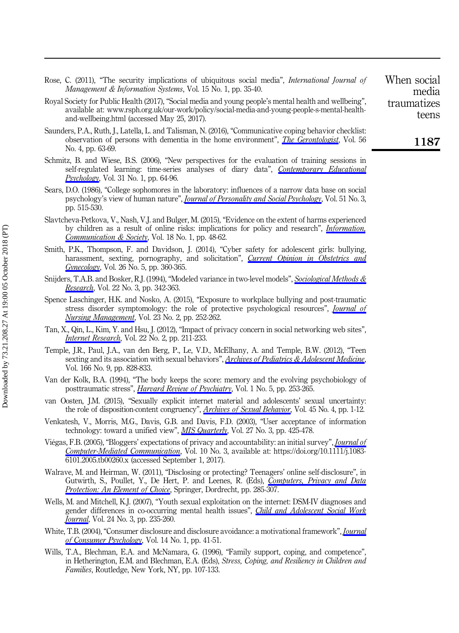- Rose, C. (2011), "The security implications of ubiquitous social media", International Journal of Management & Information Systems, Vol. 15 No. 1, pp. 35-40.
- Royal Society for Public Health (2017), "Social media and young people's mental health and wellbeing", available at: [www.rsph.org.uk/our-work/policy/social-media-and-young-people-s-mental-health](www.rsph.org.uk/our-work/policy/social-media-and-young-people-s-mental-health-and-wellbeing.html)[and-wellbeing.html](www.rsph.org.uk/our-work/policy/social-media-and-young-people-s-mental-health-and-wellbeing.html) (accessed May 25, 2017).
- Saunders, P.A., Ruth, J., Latella, L. and Talisman, N. (2016), "Communicative coping behavior checklist: observation of persons with dementia in the home environment", [The Gerontologist](https://www.emeraldinsight.com/action/showLinks?doi=10.1108%2FIntR-02-2017-0077&crossref=10.1093%2Fgeront%2Fgnw057&isi=000384760000002&citationId=p_90), Vol. 56 No. 4, pp. 63-69.
- Schmitz, B. and Wiese, B.S. (2006), "New perspectives for the evaluation of training sessions in self-regulated learning: time-series analyses of diary data", *[Contemporary Educational](https://www.emeraldinsight.com/action/showLinks?doi=10.1108%2FIntR-02-2017-0077&crossref=10.1016%2Fj.cedpsych.2005.02.002&isi=000234278800004&citationId=p_91)* [Psychology](https://www.emeraldinsight.com/action/showLinks?doi=10.1108%2FIntR-02-2017-0077&crossref=10.1016%2Fj.cedpsych.2005.02.002&isi=000234278800004&citationId=p_91), Vol. 31 No. 1, pp. 64-96.
- Sears, D.O. (1986), "College sophomores in the laboratory: influences of a narrow data base on social psychology's view of human nature", *[Journal of Personality and Social Psychology](https://www.emeraldinsight.com/action/showLinks?doi=10.1108%2FIntR-02-2017-0077&crossref=10.1037%2F0022-3514.51.3.515&isi=A1986D847600004&citationId=p_92)*, Vol. 51 No. 3, pp. 515-530.
- Slavtcheva-Petkova, V., Nash, V.J. and Bulger, M. (2015), "Evidence on the extent of harms experienced by children as a result of online risks: implications for policy and research", [Information,](https://www.emeraldinsight.com/action/showLinks?doi=10.1108%2FIntR-02-2017-0077&crossref=10.1080%2F1369118X.2014.934387&isi=000343233500004&citationId=p_93) [Communication & Society](https://www.emeraldinsight.com/action/showLinks?doi=10.1108%2FIntR-02-2017-0077&crossref=10.1080%2F1369118X.2014.934387&isi=000343233500004&citationId=p_93), Vol. 18 No. 1, pp. 48-62.
- Smith, P.K., Thompson, F. and Davidson, J. (2014), "Cyber safety for adolescent girls: bullying, harassment, sexting, pornography, and solicitation", *[Current Opinion in Obstetrics and](https://www.emeraldinsight.com/action/showLinks?doi=10.1108%2FIntR-02-2017-0077&crossref=10.1097%2FGCO.0000000000000106&isi=000341836200006&citationId=p_94)* [Gynecology](https://www.emeraldinsight.com/action/showLinks?doi=10.1108%2FIntR-02-2017-0077&crossref=10.1097%2FGCO.0000000000000106&isi=000341836200006&citationId=p_94), Vol. 26 No. 5, pp. 360-365.
- Snijders, T.A.B. and Bosker, R.J. (1994), "Modeled variance in two-level models", [Sociological Methods &](https://www.emeraldinsight.com/action/showLinks?doi=10.1108%2FIntR-02-2017-0077&crossref=10.1177%2F0049124194022003004&isi=A1994MU27800004&citationId=p_95) [Research](https://www.emeraldinsight.com/action/showLinks?doi=10.1108%2FIntR-02-2017-0077&crossref=10.1177%2F0049124194022003004&isi=A1994MU27800004&citationId=p_95), Vol. 22 No. 3, pp. 342-363.
- Spence Laschinger, H.K. and Nosko, A. (2015), "Exposure to workplace bullying and post-traumatic stress disorder symptomology: the role of protective psychological resources", *[Journal of](https://www.emeraldinsight.com/action/showLinks?doi=10.1108%2FIntR-02-2017-0077&crossref=10.1111%2Fjonm.12122&isi=000350645700012&citationId=p_96) [Nursing Management](https://www.emeraldinsight.com/action/showLinks?doi=10.1108%2FIntR-02-2017-0077&crossref=10.1111%2Fjonm.12122&isi=000350645700012&citationId=p_96)*, Vol. 23 No. 2, pp. 252-262.
- Tan, X., Qin, L., Kim, Y. and Hsu, J. (2012), "Impact of privacy concern in social networking web sites", *[Internet Research](https://www.emeraldinsight.com/action/showLinks?doi=10.1108%2FIntR-02-2017-0077&system=10.1108%2F10662241211214575&isi=000303299600005&citationId=p_97)*, Vol. 22 No. 2, pp. 211-233.
- Temple, J.R., Paul, J.A., van den Berg, P., Le, V.D., McElhany, A. and Temple, B.W. (2012), "Teen sexting and its association with sexual behaviors", [Archives of Pediatrics & Adolescent Medicine](https://www.emeraldinsight.com/action/showLinks?doi=10.1108%2FIntR-02-2017-0077&crossref=10.1001%2Farchpediatrics.2012.835&citationId=p_98), Vol. 166 No. 9, pp. 828-833.
- Van der Kolk, B.A. (1994), "The body keeps the score: memory and the evolving psychobiology of posttraumatic stress", *[Harvard Review of Psychiatry](https://www.emeraldinsight.com/action/showLinks?doi=10.1108%2FIntR-02-2017-0077&crossref=10.3109%2F10673229409017088&isi=A1994MW40100001&citationId=p_99)*, Vol. 1 No. 5, pp. 253-265.
- van Oosten, J.M. (2015), "Sexually explicit internet material and adolescents' sexual uncertainty: the role of disposition-content congruency", [Archives of Sexual Behavior](https://www.emeraldinsight.com/action/showLinks?doi=10.1108%2FIntR-02-2017-0077&isi=000373640400030&citationId=p_100), Vol. 45 No. 4, pp. 1-12.
- Venkatesh, V., Morris, M.G., Davis, G.B. and Davis, F.D. (2003), "User acceptance of information technology: toward a unified view", [MIS Quarterly](https://www.emeraldinsight.com/action/showLinks?doi=10.1108%2FIntR-02-2017-0077&crossref=10.2307%2F30036540&isi=000185196400005&citationId=p_101), Vol. 27 No. 3, pp. 425-478.
- Viégas, F.B. (2005), "Bloggers' expectations of privacy and accountability: an initial survey", [Journal of](https://www.emeraldinsight.com/action/showLinks?doi=10.1108%2FIntR-02-2017-0077&crossref=10.1111%2Fj.1083-6101.2005.tb00260.x&isi=000237100900012&citationId=p_102) [Computer-Mediated Communication](https://www.emeraldinsight.com/action/showLinks?doi=10.1108%2FIntR-02-2017-0077&crossref=10.1111%2Fj.1083-6101.2005.tb00260.x&isi=000237100900012&citationId=p_102), Vol. 10 No. 3, available at: [https://doi.org/10.1111/j.1083-](https://doi.org/10.1111/j.1083-6101.2005.tb00260.x) [6101.2005.tb00260.x](https://doi.org/10.1111/j.1083-6101.2005.tb00260.x) (accessed September 1, 2017).
- Walrave, M. and Heirman, W. (2011), "Disclosing or protecting? Teenagers' online self-disclosure", in Gutwirth, S., Poullet, Y., De Hert, P. and Leenes, R. (Eds), [Computers, Privacy and Data](https://www.emeraldinsight.com/action/showLinks?doi=10.1108%2FIntR-02-2017-0077&crossref=10.1007%2F978-94-007-0641-5_14&citationId=p_103) **[Protection: An Element of Choice](https://www.emeraldinsight.com/action/showLinks?doi=10.1108%2FIntR-02-2017-0077&crossref=10.1007%2F978-94-007-0641-5_14&citationId=p_103), Springer, Dordrecht, pp. 285-307.**
- Wells, M. and Mitchell, K.J. (2007), "Youth sexual exploitation on the internet: DSM-IV diagnoses and gender differences in co-occurring mental health issues", *[Child and Adolescent Social Work](https://www.emeraldinsight.com/action/showLinks?doi=10.1108%2FIntR-02-2017-0077&crossref=10.1007%2Fs10560-007-0083-z&citationId=p_104) [Journal](https://www.emeraldinsight.com/action/showLinks?doi=10.1108%2FIntR-02-2017-0077&crossref=10.1007%2Fs10560-007-0083-z&citationId=p_104)*, Vol. 24 No. 3, pp. 235-260.
- White, T.B. (2004), "Consumer disclosure and disclosure avoidance: a motivational framework", *[Journal](https://www.emeraldinsight.com/action/showLinks?doi=10.1108%2FIntR-02-2017-0077&crossref=10.1207%2Fs15327663jcp1401%262_6&isi=000220653900005&citationId=p_105)* [of Consumer Psychology](https://www.emeraldinsight.com/action/showLinks?doi=10.1108%2FIntR-02-2017-0077&crossref=10.1207%2Fs15327663jcp1401%262_6&isi=000220653900005&citationId=p_105), Vol. 14 No. 1, pp. 41-51.
- Wills, T.A., Blechman, E.A. and McNamara, G. (1996), "Family support, coping, and competence", in Hetherington, E.M. and Blechman, E.A. (Eds), Stress, Coping, and Resiliency in Children and Families, Routledge, New York, NY, pp. 107-133.